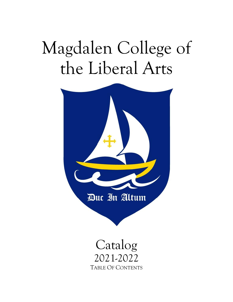# Magdalen College of the Liberal Arts



# Catalog 2021-2022 TABLE OF CONTENTS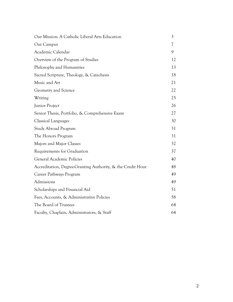| Our Mission: A Catholic Liberal Arts Education              | 3  |
|-------------------------------------------------------------|----|
| Our Campus                                                  | 7  |
| Academic Calendar                                           | 9  |
| Overview of the Program of Studies                          | 12 |
| Philosophy and Humanities                                   | 13 |
| Sacred Scripture, Theology, & Catechesis                    | 18 |
| Music and Art                                               | 21 |
| Geometry and Science                                        | 22 |
| Writing                                                     | 25 |
| Junior Project                                              | 26 |
| Senior Thesis, Portfolio, & Comprehensive Exam              | 27 |
| <b>Classical Languages</b>                                  | 30 |
| Study Abroad Program                                        | 31 |
| The Honors Program                                          | 31 |
| Majors and Major Classes                                    | 32 |
| Requirements for Graduation                                 | 37 |
| General Academic Policies                                   | 40 |
| Accreditation, Degree-Granting Authority, & the Credit Hour | 48 |
| Career Pathways Program                                     | 49 |
| Admissions                                                  | 49 |
| Scholarships and Financial Aid                              | 51 |
| Fees, Accounts, & Administrative Policies                   | 58 |
| The Board of Trustees                                       | 64 |
| Faculty, Chaplain, Administrators, & Staff                  | 64 |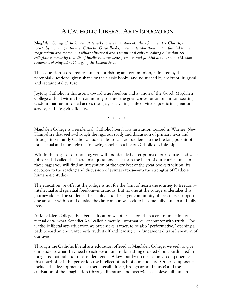# **A CATHOLIC LIBERAL ARTS EDUCATION**

*Magdalen College of the Liberal Arts seeks to serve her students, their families, the Church, and society by providing a premier Catholic, Great Books, liberal arts education that is faithful to the magisterium and rooted in a vibrant liturgical and sacramental culture, calling all within her collegiate community to a life of intellectual excellence, service, and faithful discipleship. (Mission statement of Magdalen College of the Liberal Arts)* 

This education is ordered to human flourishing and communion, animated by the perennial questions, given shape by the classic books, and nourished by a vibrant liturgical and sacramental culture.

Joyfully Catholic in this ascent toward true freedom and a vision of the Good, Magdalen College calls all within her community to enter the great conversation of authors seeking wisdom that has unfolded across the ages, cultivating a life of virtue, poetic imagination, service, and life-giving fidelity.

\* \* \* \*

Magdalen College is a residential, Catholic liberal arts institution located in Warner, New Hampshire that seeks—through the rigorous study and discussion of primary texts and through its vibrantly Catholic student life—to call our students to the life-long pursuit of intellectual and moral virtue, following Christ in a life of Catholic discipleship.

Within the pages of our catalog, you will find detailed descriptions of our courses and what John Paul II called the "perennial questions" that form the heart of our curriculum. In these pages you will find an integration of the very best of the great books tradition—its devotion to the reading and discussion of primary texts—with the strengths of Catholic humanistic studies.

The education we offer at the college is not for the faint of heart: the journey to freedom intellectual and spiritual freedom—is arduous. But no one at the college undertakes this journey alone. The students, the faculty, and the larger community of the college support one another within and outside the classroom as we seek to become fully human and fully free.

At Magdalen College, the liberal education we offer is more than a communication of factual data—what Benedict XVI called a merely "informative" encounter with truth. The Catholic liberal arts education we offer seeks, rather, to be also "performative," opening a path toward an encounter with truth itself and leading to a fundamental transformation of our lives.

Through the Catholic liberal arts education offered at Magdalen College, we seek to give our students what they need to achieve a human flourishing ordered (and coordinated) to integrated natural and transcendent ends. A key—but by no means only—component of this flourishing is the perfection the intellect of each of our students. Other components include the development of aesthetic sensibilities (through art and music) and the cultivation of the imagination (through literature and poetry). To achieve full human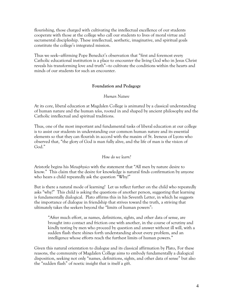flourishing, those charged with cultivating the intellectual excellence of our students cooperate with those at the college who call our students to lives of moral virtue and sacramental discipleship. These intellectual, aesthetic, imaginative, and spiritual goals constitute the college's integrated mission.

Thus we seek—affirming Pope Benedict's observation that "first and foremost every Catholic educational institution is a place to encounter the living God who in Jesus Christ reveals his transforming love and truth"—to cultivate the conditions within the hearts and minds of our students for such an encounter.

#### **Foundation and Pedagogy**

#### *Human Nature*

At its core, liberal education at Magdalen College is animated by a classical understanding of human nature and the human *telos*, rooted in and shaped by ancient philosophy and the Catholic intellectual and spiritual traditions.

Thus, one of the most important and fundamental tasks of liberal education at our college is to assist our students in understanding our common human nature and its essential elements so that they can flourish in accord with the maxim of St. Ireneus of Lyons who observed that, "the glory of God is man fully alive, and the life of man is the vision of God."

#### *How do we learn?*

Aristotle begins his *Metaphysics* with the statement that "All men by nature desire to know." This claim that the desire for knowledge is natural finds confirmation by anyone who hears a child repeatedly ask the question "Why?"

But is there a natural mode of learning? Let us reflect further on the child who repeatedly asks "why?" This child is asking the questions of another person, suggesting that learning is fundamentally dialogical. Plato affirms this in his Seventh Letter, in which he suggests the importance of dialogue in friendship that strives toward the truth, a striving that ultimately takes the seekers beyond the "limits of human powers":

"After much effort, as names, definitions, sights, and other data of sense, are brought into contact and friction one with another, in the course of scrutiny and kindly testing by men who proceed by question and answer without ill will, with a sudden flash there shines forth understanding about every problem, and an intelligence whose efforts reach the furthest limits of human powers."

Given this natural orientation to dialogue and its classical affirmation by Plato, For these reasons, the community of Magdalen College aims to embody fundamentally a dialogical disposition, seeking not only "names, definitions, sights, and other data of sense" but also the "sudden flash" of noetic insight that is itself a gift.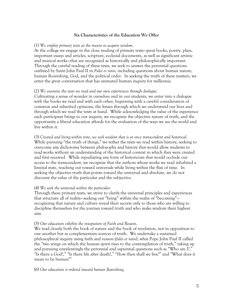#### **Six Characteristics of the Education We Offer**

#### (1) *We employ primary texts as the means to acquire wisdom*.

At the college we engage in the close reading of primary texts—great books, poetry, plays, important essays and articles, scripture, ecclesial documents, as well as significant artistic and musical works—that are recognized as historically and philosophically important. Through the careful reading of these texts, we seek to answer the perennial questions outlined by Saint John Paul II in *Fides et ratio*, including questions about human nature, human flourishing, God, and the political order. In seeking the truth of these matters, we enter the great conversation that has animated human inquiry for millennia.

#### (2) *We examine the texts we read and our own experiences through dialogue.*

Cultivating a sense of wonder in ourselves and in our students, we enter into a dialogue with the books we read and with each other, beginning with a careful consideration of common and inherited opinions, the lenses through which we understand our lives and through which we read the texts at hand. While acknowledging the value of the experience each participant brings to our inquiry, we recognize the objective nature of truth, and the opportunity a liberal education affords for the evaluation of the ways we see the world and live within it.

(3) *Created and living within time, we seek wisdom that is at once transcendent and historical*. While pursuing "the truth of things," we tether the texts we read within history, seeking to overcome any dichotomy between philosophy and history that would allow students to read works without an understanding of the historical context in which they were created and first received. While repudiating any form of historicism that would occlude our access to the transcendent, we recognize that the authors whose works we read inhabited a liminal state, reaching out toward universals while living within the flux of time. In seeking the objective truth that points toward the universal and absolute, we do not discount the value of the particular and the subjective.

#### (4) *We seek the universal within the particular*.

Through these primary texts, we strive to clarify the universal principles and experiences that structure all of reality—seeking out "being" within the realm of "becoming" recognizing that nature and culture reveal their secrets only to those who are willing to discipline themselves for the journey toward truth and who make wisdom their highest aim.

#### (5) *Our education exhibits the integration of Faith and Reason*.

We read closely both the book of nature and the book of revelation, not in opposition to one another but as complementary sources of truth. We undertake a sustained philosophical inquiry using faith and reason (*fides et ratio*), what Pope John Paul II called the "two wings on which the human spirit rises to the contemplation of truth," taking up and pursuing unrelentingly the perennial and sapiential questions such as "Who am I?," "Is there a God?," "Is there life after death?," "How then shall we live?" and "What does it mean to be human?"

(6) *Our education is ordered toward human flourishing*.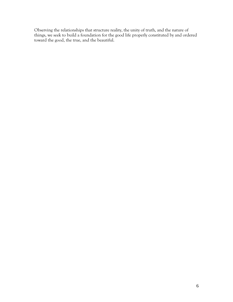Observing the relationships that structure reality, the unity of truth, and the nature of things, we seek to build a foundation for the good life properly constituted by and ordered toward the good, the true, and the beautiful.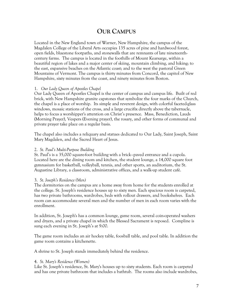# **OUR CAMPUS**

Located in the New England town of Warner, New Hampshire, the campus of the Magdalen College of the Liberal Arts occupies 135 acres of pine and hardwood forest, open fields, bluestone footpaths, and stonewalls that are remnants of late nineteenthcentury farms. The campus is located in the foothills of Mount Kearsarge, within a beautiful region of lakes and a major center of skiing, mountain climbing, and hiking; to the east, expansive beaches on the Atlantic coast; and to the west the pastoral Green Mountains of Vermont. The campus is thirty minutes from Concord, the capitol of New Hampshire, sixty minutes from the coast, and ninety minutes from Boston.

#### 1. *Our Lady Queen of Apostles Chapel*

Our Lady Queen of Apostles Chapel is the center of campus and campus life. Built of red brick, with New Hampshire granite capstones that symbolize the four marks of the Church, the chapel is a place of worship. Its simple and reverent design, with colorful faceted-glass windows, mosaic stations of the cross, and a large crucifix directly above the tabernacle, helps to focus a worshipper's attention on Christ's presence. Mass, Benediction, Lauds (Morning Prayer), Vespers (Evening prayer), the rosary, and other forms of communal and private prayer take place on a regular basis.

The chapel also includes a reliquary and statues dedicated to Our Lady, Saint Joseph, Saint Mary Magdalen, and the Sacred Heart of Jesus.

#### 2. *St. Paul's Multi-Purpose Building*

St. Paul's is a 35,000 square-foot building with a brick–paved entrance and a cupola. Located here are the dining room and kitchen, the student lounge, a 14,000 square foot gymnasium for basketball, volleyball, tennis, and other sports, an auditorium, the St. Augustine Library, a classroom, administrative offices, and a walk-up student café.

#### 3. *St. Joseph's Residence (Men)*

The dormitories on the campus are a home away from home for the students enrolled at the college. St. Joseph's residence houses up to sixty men. Each spacious room is carpeted, has two private bathrooms, wardrobes, beds with rollout drawers, and bookshelves. Each room can accommodate several men and the number of men in each room varies with the enrollment.

In addition, St. Joseph's has a common lounge, game room, several coin-operated washers and dryers, and a private chapel in which the Blessed Sacrament is reposed. Compline is sung each evening in St. Joseph's at 9:00.

The game room includes an air hockey table, foosball table, and pool table. In addition the game room contains a kitchenette.

A shrine to St. Joseph stands immediately behind the residence.

#### 4. *St. Mary's Residence (Women)*

Like St. Joseph's residence, St. Mary's houses up to sixty students. Each room is carpeted and has one private bathroom that includes a bathtub. The rooms also include wardrobes,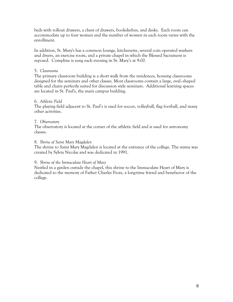beds with rollout drawers, a chest of drawers, bookshelves, and desks. Each room can accommodate up to four women and the number of women in each room varies with the enrollment.

In addition, St. Mary's has a common lounge, kitchenette, several coin operated washers and dryers, an exercise room, and a private chapel in which the Blessed Sacrament is reposed. Compline is sung each evening in St. Mary's at 9:00.

### 5. *Classrooms*

The primary classroom building is a short walk from the residences, housing classrooms designed for the seminars and other classes. Most classrooms contain a large, oval–shaped table and chairs perfectly suited for discussion style seminars. Additional learning spaces are located in St. Paul's, the main campus building.

#### 6. *Athletic Field*

The playing field adjacent to St. Paul's is used for soccer, volleyball, flag football, and many other activities.

### 7. *Observatory*

The observatory is located at the corner of the athletic field and is used for astronomy classes.

#### 8. *Shrine of Saint Mary Magdalen*

The shrine to Saint Mary Magdalen is located at the entrance of the college. The statue was created by Sylvia Nicolas and was dedicated in 1991.

#### 9. *Shrine of the Immaculate Heart of Mary*

Nestled in a garden outside the chapel, this shrine to the Immaculate Heart of Mary is dedicated to the memory of Father Charles Fiore, a long-time friend and benefactor of the college.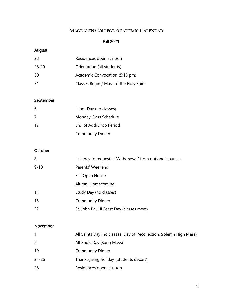# **MAGDALEN COLLEGE ACADEMIC CALENDAR**

### Fall 2021

# August

| 28    | Residences open at noon                 |
|-------|-----------------------------------------|
| 28-29 | Orientation (all students)              |
| 30    | Academic Convocation (5:15 pm)          |
| -31   | Classes Begin / Mass of the Holy Spirit |

# September

| 6  | Labor Day (no classes)  |
|----|-------------------------|
| 7  | Monday Class Schedule   |
| 17 | End of Add/Drop Period  |
|    | <b>Community Dinner</b> |

# **October**

| 8        | Last day to request a "Withdrawal" from optional courses |
|----------|----------------------------------------------------------|
| $9 - 10$ | Parents' Weekend                                         |
|          | Fall Open House                                          |
|          | Alumni Homecoming                                        |
| 11       | Study Day (no classes)                                   |
| 15       | <b>Community Dinner</b>                                  |
| 22       | St. John Paul II Feast Day (classes meet)                |

# November

|                | All Saints Day (no classes, Day of Recollection, Solemn High Mass) |
|----------------|--------------------------------------------------------------------|
| $\overline{2}$ | All Souls Day (Sung Mass)                                          |
| 19             | <b>Community Dinner</b>                                            |
| $24 - 26$      | Thanksgiving holiday (Students depart)                             |
| 28             | Residences open at noon                                            |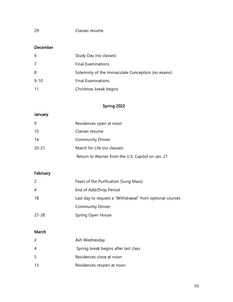# December

| 6        | Study Day (no classes)                            |
|----------|---------------------------------------------------|
| 7        | <b>Final Examinations</b>                         |
| 8        | Solemnity of the Immaculate Conception (no exams) |
| $9 - 10$ | <b>Final Examinations</b>                         |
| -11      | Christmas break begins                            |

# Spring 2022

# January

| 9         | Residences open at noon                           |
|-----------|---------------------------------------------------|
| 10        | Classes resume                                    |
| 14        | <b>Community Dinner</b>                           |
| $20 - 21$ | March for Life (no classes)                       |
|           | Return to Warner from the U.S. Capitol on Jan. 21 |

# February

| 2         | Feast of the Purification (Sung Mass)                    |
|-----------|----------------------------------------------------------|
| 4         | End of Add/Drop Period                                   |
| 18        | Last day to request a "Withdrawal" from optional courses |
|           | <b>Community Dinner</b>                                  |
| $27 - 28$ | Spring Open House                                        |

# March

| 2  | Ash Wednesday                        |
|----|--------------------------------------|
| 4  | Spring break begins after last class |
| 5  | Residences close at noon             |
| 13 | Residences reopen at noon            |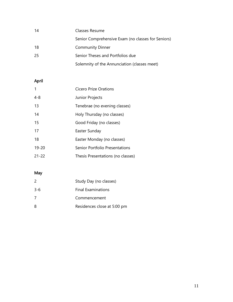| 14  | Classes Resume                                     |
|-----|----------------------------------------------------|
|     | Senior Comprehensive Exam (no classes for Seniors) |
| -18 | <b>Community Dinner</b>                            |
| -25 | Senior Theses and Portfolios due                   |
|     | Solemnity of the Annunciation (classes meet)       |

# April

| 1         | Cicero Prize Orations                 |
|-----------|---------------------------------------|
| 4-8       | Junior Projects                       |
| 13        | Tenebrae (no evening classes)         |
| 14        | Holy Thursday (no classes)            |
| 15        | Good Friday (no classes)              |
| 17        | Easter Sunday                         |
| 18        | Easter Monday (no classes)            |
| $19 - 20$ | <b>Senior Portfolio Presentations</b> |
| 21-22     | Thesis Presentations (no classes)     |

# May

| 2   | Study Day (no classes)      |
|-----|-----------------------------|
| 3-6 | <b>Final Examinations</b>   |
| 7   | Commencement                |
| 8   | Residences close at 5:00 pm |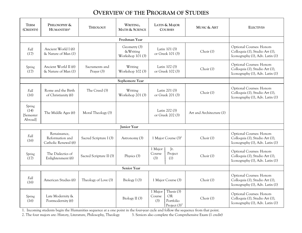# **OVERVIEW OF THE PROGRAM OF STUDIES**

| <b>TERM</b><br>(CREDITS)               | PHILOSOPHY &<br>HUMANITIES <sup>1</sup>                 | <b>THEOLOGY</b>              | WRITING,<br><b>MATH &amp; SCIENCE</b>         |                                   | LATIN & MAJOR<br>MUSIC & ART<br><b>COURSES</b>          |                          | <b>ELECTIVES</b>                                                                                     |
|----------------------------------------|---------------------------------------------------------|------------------------------|-----------------------------------------------|-----------------------------------|---------------------------------------------------------|--------------------------|------------------------------------------------------------------------------------------------------|
|                                        |                                                         |                              | Freshman Year                                 |                                   |                                                         |                          |                                                                                                      |
| Fall<br>(17)                           | Ancient World I (6)<br>& Nature of Man (1)              |                              | Geometry (3)<br>& Writing<br>Workshop 101 (3) |                                   | Latin 101 (3)<br>Choir (1)<br>or Greek 101 (3)          |                          | <b>Optional Courses: Honors</b><br>Colloquia (1), Studio Art (1),<br>Iconography (1), Adv. Latin (1) |
| Spring<br>(17)                         | Ancient World II (6)<br>& Nature of Man (1)             | Sacraments and<br>Prayer (3) | Writing<br>Workshop 102 (3)                   | Latin 102 (3)<br>or Greek 102 (3) |                                                         | Choir (1)                | <b>Optional Courses: Honors</b><br>Colloquia (1), Studio Art (1),<br>Iconography (1), Adv. Latin (1) |
|                                        |                                                         |                              | Sophomore Year                                |                                   |                                                         |                          |                                                                                                      |
| Fall<br>(16)                           | Rome and the Birth<br>of Christianity (6)               | The Creed (3)                | Writing<br>Workshop 201 (3)                   | Latin 201 (3)<br>or Greek 201 (3) |                                                         | Choir (1)                | <b>Optional Courses: Honors</b><br>Colloquia (1), Studio Art (1),<br>Iconography (1), Adv. Latin (1) |
| Spring<br>(14)<br>[Semester<br>Abroadl | The Middle Ages (6)                                     | Moral Theology (3)           |                                               | Latin 202 (3)<br>or Greek 202 (3) |                                                         | Art and Architecture (1) |                                                                                                      |
|                                        |                                                         |                              | <b>Junior Year</b>                            |                                   |                                                         |                          |                                                                                                      |
| Fall<br>(16)                           | Renaissance,<br>Reformation and<br>Catholic Renewal (6) | Sacred Scripture I (3)       | Astronomy (3)                                 |                                   | 1 Major Course $(3)^2$                                  | Choir (1)                | <b>Optional Courses: Honors</b><br>Colloquia (1), Studio Art (1),<br>Iconography (1), Adv. Latin (1) |
| Spring<br>(17)                         | The Dialectics of<br>Enlightenment (6)                  | Sacred Scripture II (3)      | Physics (3)                                   | 1 Major<br>Course<br>(3)          | Jr.<br>Project<br>(1)                                   | Choir (1)                | <b>Optional Courses: Honors</b><br>Colloquia (1), Studio Art (1),<br>Iconography (1), Adv. Latin (1) |
| <b>Senior Year</b>                     |                                                         |                              |                                               |                                   |                                                         |                          |                                                                                                      |
| Fall<br>(16)                           | American Studies (6)                                    | Theology of Love (3)         | Biology I (3)                                 |                                   | 1 Major Course (3)                                      | Choir (1)                | <b>Optional Courses: Honors</b><br>Colloquia (1), Studio Art (1),<br>Iconography (1), Adv. Latin (1) |
| Spring<br>(16)                         | Late Modernity &<br>Postmodernity (6)                   |                              | Biology II (3)                                | 1 Major<br>Course<br>(3)          | Thesis (3)<br><b>OR</b><br>Portfolio<br>Project $(3)^3$ | Choir (1)                | <b>Optional Courses: Honors</b><br>Colloquia (1), Studio Art (1),<br>Iconography (1), Adv. Latin (1) |

1. Incoming students begin the Humanities sequence at a one point in the four-year cycle and follow the sequence from that point.

2. The four majors are: History, Literature, Philosophy, Theology 3. Seniors also complete the Comprehensive Exam (1 credit)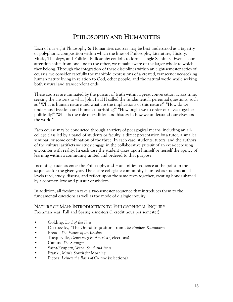# **PHILOSOPHY AND HUMANITIES**

Each of our eight Philosophy & Humanities courses may be best understood as a tapestry or polyphonic composition within which the lines of Philosophy, Literature, History, Music, Theology, and Political Philosophy conjoin to form a single Seminar. Even as our attention shifts from one line to the other, we remain aware of the larger whole to which they belong. Through the integration of these disciplines within an eight-semester series of courses, we consider carefully the manifold expressions of a created, transcendence-seeking human nature living in relation to God, other people, and the natural world while seeking both natural and transcendent ends.

These courses are animated by the pursuit of truth within a great conversation across time, seeking the answers to what John Paul II called the fundamental, perennial questions, such as "What is human nature and what are the implications of this nature?" "How do we understand freedom and human flourishing?" "How ought we to order our lives together politically?" 'What is the role of tradition and history in how we understand ourselves and the world?"

Each course may be conducted through a variety of pedagogical means, including an allcollege class led by a panel of students or faculty, a direct presentation by a tutor, a smaller seminar, or some combination of the three. In each case, students, tutors, and the authors of the cultural artifacts we study engage in the collaborative pursuit of an ever-deepening encounter with reality. In each case the student takes upon himself or herself the agency of learning within a community united and ordered to that purpose.

Incoming students enter the Philosophy and Humanities sequence at the point in the sequence for the given year. The entire collegiate community is united as students at all levels read, study, discuss, and reflect upon the same texts together, creating bonds shaped by a common love and pursuit of wisdom.

In addition, all freshmen take a two-semester sequence that introduces them to the fundamental questions as well as the mode of dialogic inquiry.

NATURE OF MAN: INTRODUCTION TO PHILOSOPHICAL INQUIRY Freshman year, Fall and Spring semesters (1 credit hour per semester)

- Golding, *Lord of the Flies*
- Dostoevsky, "The Grand Inquisitor" from *The Brothers Karamazov*
- Freud, *The Future of an Illusion*
- Tocqueville, *Democracy in America* (selections)
- Camus, *The Stranger*
- Saint-Exupery, *Wind, Sand and Stars*
- Frankl, *Man's Search for Meaning*
- Pieper, *Leisure the Basis of Culture* (selections)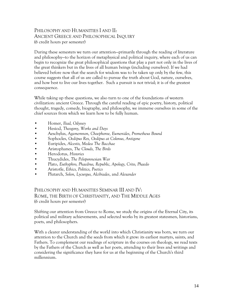# PHILOSOPHY AND HUMANITIES I AND II: ANCIENT GREECE AND PHILOSOPHICAL INQUIRY (6 credit hours per semester)

During these semesters we turn our attention—primarily through the reading of literature and philosophy—to the horizon of metaphysical and political inquiry, where each of us can begin to recognize the great philosophical questions that play a part not only in the lives of the great thinkers but in the lives of all human beings (including ourselves). If we had believed before now that the search for wisdom was to be taken up only by the few, this course suggests that all of us are called to pursue the truth about God, nature, ourselves, and how best to live our lives together. Such a pursuit is not trivial; it is of the greatest consequence.

While taking up these questions, we also turn to one of the foundations of western civilization: ancient Greece. Through the careful reading of epic poetry, history, political thought, tragedy, comedy, biography, and philosophy, we immerse ourselves in some of the chief sources from which we learn how to be fully human.

- Homer, *Iliad, Odyssey*
- Hesiod, *Theogony, Works and Days*
- Aeschylus, *Agamemnon, Choephoroe, Eumenides, Prometheus Bound*
- Sophocles, *Oedipus Rex, Oedipus at Colonus, Antigone*
- Euripides, *Alcestis, Medea The Bacchae*
- Aristophanes, *The Clouds, The Birds*
- Herodotus, *Histories*
- Thucydides, *The Peloponnesian War*
- Plato, *Euthyphro, Phaedrus, Republic, Apology, Crito, Phaedo*
- Aristotle, *Ethics, Politics, Poetics*
- Plutarch, *Solon, Lycurgus, Alcibiades*, and *Alexander*

PHILOSOPHY AND HUMANITIES SEMINAR III AND IV: ROME, THE BIRTH OF CHRISTIANITY, AND THE MIDDLE AGES (6 credit hours per semester)

Shifting our attention from Greece to Rome, we study the origins of the Eternal City, its political and military achievements, and selected works by its greatest statesmen, historians, poets, and philosophers.

With a clearer understanding of the world into which Christianity was born, we turn our attention to the Church and the seeds from which it grew: its earliest martyrs, saints, and Fathers. To complement our readings of scripture in the courses on theology, we read texts by the Fathers of the Church as well as her poets, attending to their lives and writings and considering the significance they have for us at the beginning of the Church's third millennium.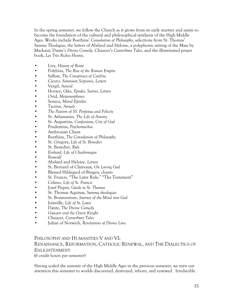In the spring semester, we follow the Church as it grows from its early martyrs and saints to become the foundation of the cultural and philosophical synthesis of the High Middle Ages. Works include Boethius' *Consolation of Philosophy*, selections from St. Thomas' *Summa Theologiae*, the letters of Abelard and Heloise, a polyphonic setting of the Mass by Machaut, Dante's *Divine Comedy,* Chaucer's *Canterbury Tales*, and the illuminated prayer book, *Les Très Riches Heures*.

- Livy, *History of Rome*
- Polybius, *The Rise of the Roman Empire*
- Sallust, *The Conspiracy of Catiline*
- Cicero, *Somnium Scipionis*, *Letters*
- Vergil, *Aeneid*
- Horace, *Odes, Epodes, Satires, Letters*
- Ovid, *Metamorphoses*
- Seneca, *Moral Epistles*
- Tacitus, *Annals*
- *The Passion of SS. Perpetua and Felicity*
- St. Athanasius, *The Life of Antony*
- St. Augustine, *Confessions, City of God*
- Prudentius, *Psychomachia*
- Ambrosian Chant
- Boethius, *The Consolation of Philosophy*
- St. Gregory, *Life of St. Benedict*
- St. Benedict, *Rule*
- *Einhard, Life of Charlemagne*
- *Beowulf*
- Abelard and Heloise, *Letters*
- St. Bernard of Clairvaux, *On Loving God*
- Blessed Hildegard of Bingen, chants
- St. Francis, "The Later Rule," "The Testament"
- Celano, *Life of St. Francis*
- Josef Pieper, *Guide to St. Thomas*
- St. Thomas Aquinas, *Summa theologiae*
- St. Bonaventure, *Journey of the Mind into God*
- Joinville, *Life of St. Louis*
- Dante, *The Divine Comedy*
- *Gawain and the Green Knight*
- Chaucer, *Canterbury Tales*
- Julian of Norwich, *Revelations of Divine Love*

#### PHILOSOPHY AND HUMANITIES V AND VI:

# RENAISSANCE, REFORMATION, CATHOLIC RENEWAL, AND THE DIALECTICS OF ENLIGHTENMENT

(6 credit hours per semester)

Having scaled the summit of the High Middle Ages in the previous semester, we turn our attention this semester to worlds discovered, destroyed, reborn, and renewed. Irreducible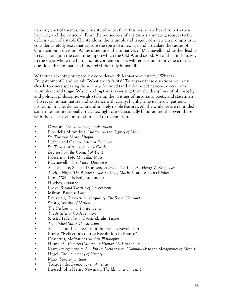to a single set of themes, the plurality of voices from this period are heard in both their harmony and their discord. From the rediscovery of antiquity's animating sources to the deformation of a stable Christendom, the triumph and tragedy of a new era prompts us to consider carefully texts that capture the spirit of a new age and articulate the causes of Christendom's division. At the same time, the initiatives of Machiavelli and Luther lead us to consider again the certainties upon which the Old World stood. All of this finds its way to the stage, where the Bard and his contemporaries will renew our attentiveness to the questions that animate and undergird the truly human life.

Without slackening our pace, we consider—with Kant—the question, "What is Enlightenment?" and we ask "What are its fruits?" To answer these questions we listen closely to voices speaking from newly- founded (and re-founded) nations, voices both triumphant and tragic. While reading thinkers writing from the disciplines of philosophy and political philosophy, we also take up the writings of historians, poets, and statesmen who reveal human nature and existence with clarity, highlighting its heroic, pathetic, profound, fragile, demonic, and ultimately risible features. All the while we are reminded sometimes unintentionally—that new light can occasionally blind us and that even those with the keenest vision stand in need of redemption.

- Dawson, *The Dividing of Christendom*
- Pico della Mirandola, *Oration on the Dignity of Man*
- St. Thomas More, *Utopia*
- Luther and Calvin, *Selected Readings*
- St. Teresa of Avila, *Interior Castle*
- *Decrees from the Council of Trent*
- Palestrina, *Pope Marcellus Mass*
- Machiavelli, *The Prince*, *Discourses*
- Shakespeare, Selected sonnets, *Hamlet, The Tempest, Henry V, King Lear, Twelfth Night, The Winter's Tale, Othello, Macbeth,* and *Romeo & Juliet*
- Kant, "What is Enlightenment?"
- Hobbes, *Leviathan*
- Locke, *Second Treatise of Government*
- Milton, *Paradise Lost*
- Rousseau, *Discourse on Inequality, The Social Contract*
- Smith, *Wealth of Nations*
- *The Declaration of Independence*
- *The Articles of Confederation*
- *Selected Federalist and Antifederalist Papers*
- *The United States Constitution*
- Speeches and Decrees from the French Revolution
- Burke, "Reflections on the Revolution in France"
- Descartes, *Meditations on First Philosophy*
- Hume, *An Enquiry Concerning Human Understanding*
- Kant, *Prolegomena to Any Future Metaphysics, Groundwork to the Metaphysics of Morals*
- Hegel, *The Philosophy of History*
- Marx, *Selected writings*
- Tocqueville, *Democracy in America*
- Blessed John Henry Newman, *The Idea of a University*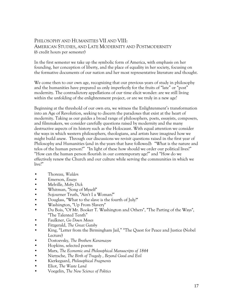# PHILOSOPHY AND HUMANITIES VII AND VIII: AMERICAN STUDIES, AND LATE MODERNITY AND POSTMODERNITY (6 credit hours per semester)

In the first semester we take up the symbolic form of America, with emphasis on her founding, her conception of liberty, and the place of equality in her society, focusing on the formative documents of our nation and her most representative literature and thought.

We come then to our own age, recognizing that our previous years of study in philosophy and the humanities have prepared us only imperfectly for the fruits of "late" or "post" modernity. The contradictory appellations of our time elicit wonder: are we still living within the unfolding of the enlightenment project, or are we truly in a new age?

Beginning at the threshold of our own era, we witness the Enlightenment's transformation into an Age of Revolution, seeking to discern the paradoxes that exist at the heart of modernity. Taking as our guides a broad range of philosophers, poets, essayists, composers, and filmmakers, we consider carefully questions raised by modernity and the many destructive aspects of its history such as the Holocaust. With equal attention we consider the ways in which western philosophers, theologians, and artists have imagined how we might build anew. Through our discussions we revisit questions raised in the first year of Philosophy and Humanities (and in the years that have followed): "What is the nature and telos of the human person?" "In light of these how should we order our political lives?" "How can the human person flourish in our contemporary age?" and "How do we effectively renew the Church and our culture while serving the communities in which we live?"

- Thoreau, *Walden*
- Emerson, *Essays*
- Melville, *Moby Dick*
- Whitman, "Song of Myself"
- Sojourner Truth, "Ain't I a Woman?"
- Douglass, "What to the slave is the fourth of July?"
- Washington, "Up From Slavery"
- Du Bois, "Of Mr. Booker T. Washington and Others", "The Parting of the Ways", "The Talented Tenth"
- Faulkner, *Go Down Moses*
- Fitzgerald, *The Great Gatsby*
- King, "Letter from the Birmingham Jail," "The Quest for Peace and Justice (Nobel Lecture)
- Dostoevsky, *The Brothers Karamazov*
- Hopkins, selected poems
- Marx, *The Economic and Philosophical Manuscripts of 1844*
- Nietzsche, *The Birth of Tragedy , Beyond Good and Evil*
- Kierkegaard, *Philosophical Fragments*
- Eliot, *The Waste Land*
- Voegelin, *The New Science of Politics*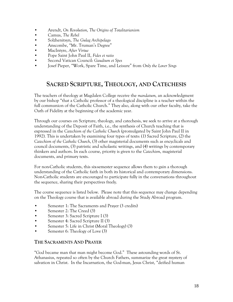- Arendt, *On Revolution, The Origins of Totalitarianism*
- Camus, *The Rebel*
- Solzhenitsyn, *The Gulag Archipelago*
- Anscombe, "Mr. Truman's Degree"
- MacIntyre, *After Virtue*
- Pope Saint John Paul II, *Fides et ratio*
- Second Vatican Council: *Gaudium et Spes*
- Josef Pieper, "Work, Spare Time, and Leisure" from *Only the Lover Sings*

# **SACRED SCRIPTURE, THEOLOGY, AND CATECHESIS**

The teachers of theology at Magdalen College receive the *mandatum,* an acknowledgment by our bishop "that a Catholic professor of a theological discipline is a teacher within the full communion of the Catholic Church." They also, along with our other faculty, take the Oath of Fidelity at the beginning of the academic year.

Through our courses on Scripture, theology, and catechesis, we seek to arrive at a thorough understanding of the Deposit of Faith, i.e., the synthesis of Church teaching that is expressed in the *Catechism of the Catholic Church* (promulgated by Saint John Paul II in 1992). This is undertaken by examining four types of texts: (1) Sacred Scripture, (2) the *Catechism of the Catholic Church*, (3) other magisterial documents such as encyclicals and council documents, (3) patristic and scholastic writings, and (4) writings by contemporary thinkers and authors. In each course, priority is given to the *Catechism*, magisterial documents, and primary texts.

For non-Catholic students, this six-semester sequence allows them to gain a thorough understanding of the Catholic faith in both its historical and contemporary dimensions. Non-Catholic students are encouraged to participate fully in the conversations throughout the sequence, sharing their perspectives freely.

The course sequence is listed below. Please note that this sequence may change depending on the Theology course that is available abroad during the Study Abroad program.

- Semester 1: The Sacraments and Prayer (3 credits)
- Semester 2: The Creed (3)
- Semester 3: Sacred Scripture I (3)
- Semester 4: Sacred Scripture II (3)
- Semester 5: Life in Christ (Moral Theology) (3)
- Semester 6: Theology of Love (3)

#### **THE SACRAMENTS AND PRAYER**

"God became man that man might become God." These astounding words of St. Athanasius, repeated so often by the Church Fathers, summarize the great mystery of salvation in Christ. In the Incarnation, the God-man, Jesus Christ, "deified human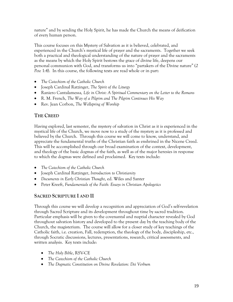nature" and by sending the Holy Spirit, he has made the Church the means of deification of every human person.

This course focuses on this Mystery of Salvation as it is believed, celebrated, and experienced in the Church's mystical life of prayer and the sacraments. Together we seek both a practical and theological understanding of the nature of prayer and the sacraments as the means by which the Holy Spirit bestows the grace of divine life, deepens our personal communion with God, and transforms us into "partakers of the Divine nature" (*2 Pete* 1:4). In this course, the following texts are read whole or in part:

- *The Catechism of the Catholic Church*
- Joseph Cardinal Ratzinger, *The Spirit of the Liturgy*
- Raniero Cantalamessa*, Life in Christ: A Spiritual Commentary on the Letter to the Romans*
- R. M. French, *The Way of a Pilgrim and The Pilgrim Continues His Way*
- Rev. Jean Corbon, *The Wellspring of Worship*

# **THE CREED**

Having explored, last semester, the mystery of salvation in Christ as it is experienced in the mystical life of the Church, we move now to a study of the mystery as it is professed and believed by the Church. Through this course we will come to know, understand, and appreciate the fundamental truths of the Christian faith as enshrined in the Nicene Creed. This will be accomplished through our broad examination of the context, development, and theology of the basic dogmas of the faith, as well as of the major heresies in response to which the dogmas were defined and proclaimed. Key texts include:

- *The Catechism of the Catholic Church*
- Joseph Cardinal Ratzinger, *Introduction to Christianity*
- *Documents in Early Christian Thought*, ed. Wiles and Santer
- Peter Kreeft, *Fundamentals of the Faith: Essays in Christian Apologetics*

# **SACRED SCRIPTURE I AND II**

Through this course we will develop a recognition and appreciation of God's self-revelation through Sacred Scripture and its development throughout time by sacred tradition. Particular emphasis will be given to the covenantal and nuptial character revealed by God throughout salvation history and developed to the present day by the teaching body of the Church, the magisterium. The course will allow for a closer study of key teachings of the Catholic faith, i.e. creation, Fall, redemption, the theology of the body, discipleship, etc., through Socratic discussions, lectures, presentations, research, critical assessments, and written analysis. Key texts include:

- *The Holy Bible*, RSV-CE
- *The Catechism of the Catholic Church*
- *The Dogmatic Constitution on Divine Revelation: Dei Verbum*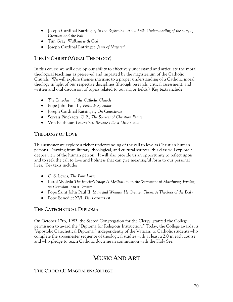- Joseph Cardinal Ratzinger, *In the Beginning...A Catholic Understanding of the story of Creation and the Fall*
- Tim Gray, *Walking with God*
- Joseph Cardinal Ratzinger, *Jesus of Nazareth*

# **LIFE IN CHRIST (MORAL THEOLOGY)**

In this course we will develop our ability to effectively understand and articulate the moral theological teachings as preserved and imparted by the magisterium of the Catholic Church. We will explore themes intrinsic to a proper understanding of a Catholic moral theology in light of our respective disciplines (through research, critical assessment, and written and oral discussion of topics related to our major fields.) Key texts include:

- *The Catechism of the Catholic Church*
- Pope John Paul II, *Veritatis Splendor*
- Joseph Cardinal Ratzinger, *On Conscience*
- Servais Pinckaers, O.P., *The Sources of Christian Ethics*
- Von Balthasar, *Unless You Become Like a Little Child*

# **THEOLOGY OF LOVE**

This semester we explore a richer understanding of the call to love as Christian human persons. Drawing from literary, theological, and cultural sources, this class will explore a deeper view of the human person. It will also provide us an opportunity to reflect upon and to seek the call to love and holiness that can give meaningful form to our personal lives. Key texts include:

- C. S. Lewis, *The Four Loves*
- Karol Wojtyla *The Jeweler's Shop: A Meditation on the Sacrament of Matrimony Passing on Occasion Into a Drama*
- Pope Saint John Paul II, *Man and Woman He Created Them: A Theology of the Body*
- Pope Benedict XVI, *Deus caritas est*

# **THE CATECHETICAL DIPLOMA**

On October 17th, 1983, the Sacred Congregation for the Clergy, granted the College permission to award the "Diploma for Religious Instruction." Today, the College awards its "Apostolic Catechetical Diploma," independently of the Vatican, to Catholic students who complete the six-semester sequence of theological studies with at least a 2.0 in each course and who pledge to teach Catholic doctrine in communion with the Holy See.

# **MUSIC AND ART**

# **THE CHOIR OF MAGDALEN COLLEGE**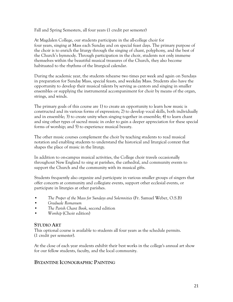Fall and Spring Semesters, all four years (1 credit per semester)

At Magdalen College, our students participate in the all-college choir for four years, singing at Mass each Sunday and on special feast days. The primary purpose of the choir is to enrich the liturgy through the singing of chant, polyphony, and the best of the Church's hymnody. Through participation in the choir, students not only immerse themselves within the beautiful musical treasures of the Church, they also become habituated to the rhythms of the liturgical calendar.

During the academic year, the students rehearse two times per week and again on Sundays in preparation for Sunday Mass, special feasts, and weekday Mass. Students also have the opportunity to develop their musical talents by serving as cantors and singing in smaller ensembles or supplying the instrumental accompaniment for choir by means of the organ, strings, and winds.

The primary goals of this course are 1) to create an opportunity to learn how music is constructed and its various forms of expression; 2) to develop vocal skills, both individually and in ensemble; 3) to create unity when singing together in ensemble; 4) to learn chant and sing other types of sacred music in order to gain a deeper appreciation for these special forms of worship; and 5) to experience musical beauty.

The other music courses complement the choir by teaching students to read musical notation and enabling students to understand the historical and liturgical context that shapes the place of music in the liturgy.

In addition to on-campus musical activities, the College choir travels occasionally throughout New England to sing at parishes, the cathedral, and community events to support the Church and the community with its musical gifts.

Students frequently also organize and participate in various smaller groups of singers that offer concerts at community and collegiate events, support other ecclesial events, or participate in liturgies at other parishes.

- *The Proper of the Mass for Sundays and Solemnities* (Fr. Samuel Weber, O.S.B)
- *Graduale Romanum*
- *The Parish Chant Book,* second edition
- *Worship* (Choir edition)

#### **STUDIO ART**

This optional course is available to students all four years as the schedule permits. (1 credit per semester).

At the close of each year students exhibit their best works in the college's annual art show for our fellow students, faculty, and the local community.

# **BYZANTINE ICONOGRAPHIC PAINTING**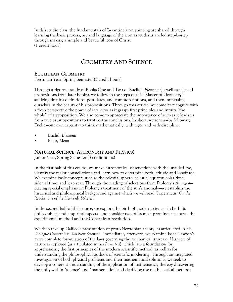In this studio class, the fundamentals of Byzantine icon painting are shared through learning the basic process, art and language of the icon as students are led step-by-step through making a simple and beautiful icon of Christ. (1 credit hour)

# **GEOMETRY AND SCIENCE**

### **EUCLIDEAN GEOMETRY**

Freshman Year, Spring Semester (3 credit hours)

Through a rigorous study of Books One and Two of Euclid's *Elements* (as well as selected propositions from later books), we follow in the steps of this "Master of Geometry," studying first his definitions, postulates, and common notions, and then immersing ourselves in the beauty of his propositions. Through this course, we come to recognize with a fresh perspective the power of *intellectus* as it grasps first principles and intuits "the whole" of a proposition. We also come to appreciate the importance of *ratio* as it leads us from true presuppositions to trustworthy conclusions. In short, we renew—by following Euclid—our own capacity to think mathematically, with rigor and with discipline.

- Euclid, *Elements*
- Plato, *Meno*

### **NATURAL SCIENCE (ASTRONOMY AND PHYSICS)**

Junior Year, Spring Semester (3 credit hours)

In the first half of this course, we make astronomical observations with the unaided eye, identify the major constellations and learn how to determine both latitude and longitude. We examine basic concepts such as the celestial sphere, celestial equator, solar time, sidereal time, and leap year. Through the reading of selections from Ptolemy's *Almagest* placing special emphasis on Ptolemy's treatment of the sun's anomaly—we establish the historical and philosophical background against which we will read Copernicus' *On the Revolutions of the Heavenly Spheres*.

In the second half of this course, we explore the birth of modern science—in both its philosophical and empirical aspects—and consider two of its most prominent features: the experimental method and the Copernican revolution.

We then take up Galileo's presentation of proto-Newtonian theory, as articulated in his *Dialogue Concerning Two New Sciences*. Immediately afterward, we examine Isaac Newton's more complete formulation of the laws governing the mechanical universe. His view of nature is explored (as articulated in his *Principia*), which lays a foundation for apprehending the first principles of the modern scientific method, as well as for understanding the philosophical outlook of scientific modernity. Through an integrated investigation of both physical problems and their mathematical solutions, we seek to develop a coherent understanding of the application of mathematics, thereby discovering the unity within "science" and "mathematics" and clarifying the mathematical methods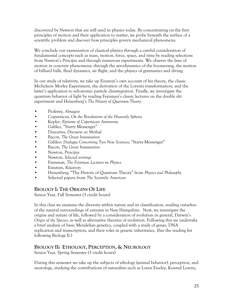discovered by Newton that are still used in physics today. By concentrating on the first principles of motion and their application to matter, we probe beneath the surface of a scientific problem and discover how principles govern mechanical phenomena.

We conclude our examination of classical physics through a careful consideration of fundamental concepts such as mass, motion, force, space, and time by reading selections from Newton's *Principia* and through numerous experiments. We observe the laws of motion in concrete phenomena: through the aerodynamics of the boomerang, the motion of billiard balls, fluid dynamics, air flight, and the physics of gymnastics and diving.

In our study of relativity, we take up Einstein's own account of his theory, the classic Michelson- Morley Experiment, the derivation of the Lorentz transformation, and the latter's application to sub-atomic particle disintegration. Finally, we investigate the quantum behavior of light by reading Feynman's classic lectures on the double slit experiment and Heisenberg's *The History of Quantum Theory*.

- Ptolemy, *Almagest*
- Copernicus, *On the Revolutions of the Heavenly Spheres*
- Kepler, *Epitome of Copernican Astronomy*
- Galileo, "Starry Messenger"
- Descartes, *Discourse on Method*
- Bacon, *The Great Instauration*
- Galileo: *Dialogue Concerning Two New Sciences*; "Starry Messenger"
- Bacon, *The Great Instauration*
- Newton, *Principia*
- Newton, *Selected writings*
- Feynman, *The Feynman Lectures on Physics*
- Einstein, *Relativity*
- Heisenberg, "The History of Quantum Theory" from *Physics and Philosophy*
- Selected papers from *The Scientific American*

# **BIOLOGY I: THE ORIGINS OF LIFE**

Senior Year, Fall Semester (3 credit hours)

In this class we examine the diversity within nature and its classification, availing ourselves of the natural surroundings of autumn in New Hampshire. Next, we investigate the origins and nature of life, followed by a consideration of evolution in general, Darwin's *Origin of the Species*, as well as alternative theories of evolution. Following this we undertake a brief analysis of basic Mendelian genetics, coupled with a study of genes, DNA replication and transcription, and their roles in genetic inheritance. (See the reading list following Biology II.)

# **BIOLOGY II: ETHOLOGY, PERCEPTION, & NEUROLOGY**

Senior Year, Spring Semester (3 credit hours)

During this semester we take up the subjects of ethology (animal behavior), perception, and neurology, studying the contributions of naturalists such as Loren Eiseley, Konrad Lorenz,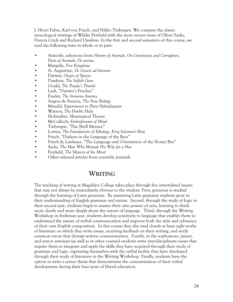J. Henri Fabre, Karl von Frisch, and Nikko Tinbergen. We compare the classic neurological writings of Wilder Penfield with the more recent views of Oliver Sacks, Francis Crick and Richard Dawkins. In the first and second semesters of this course, we read the following texts in whole or in part:

- Aristotle, selections from *History of Animals, On Generation and Corruption, Parts of Animals, De anima*
- Margulis, *Five Kingdoms*
- St. Augustine, *De Genesi ad litteram*
- Darwin, *Origin of Species*
- Dawkins, *The Selfish Gene*
- Gould, *The Panda's Thumb*
- Lack, "Darwin's Finches"
- Eiseley, *The Immense Journey*
- Augros & Stanciu, *The New Biology*
- Mendel, *Experiments in Plant Hybridization*
- Watson, *The Double Helix*
- Hofstadter, *Metamagical Themas*
- McCulloch, *Embodiments of Mind*
- Tinbergen, "The Shell Menace"
- Lorenz, *The Foundations of Ethology, King Solomon's Ring*
- Frisch, "Dialects in the Language of the Bees"
- Frisch & Lindauer, "The Language and Orientation of the Honey Bee"
- Sacks, *The Man Who Mistook His Wife for a Hat*
- Penfield, *The Mystery of the Mind*
- Other selected articles from scientific journals

# **WRITING**

The teaching of writing at Magdalen College takes place through five interrelated means that may not always be immediately obvious to the student. First, grammar is studied through the learning of Latin grammar. By mastering Latin grammar students grow in their understanding of English grammar and syntax. Second, through the study of logic in their second year, students begin to master their own powers of *ratio*, learning to think more clearly and more deeply about the nature of language. Third, through the Writing Workshop in freshman year, students develop sensitivity to language that enables them to understand the nature of verbal communication and improve both the style and substance of their own English composition. In this course they also read closely at least eight works of literature on which they write essays, receiving feedback on their writing, and study common errors that disrupt written communication. Fourth, in the sophomore, junior, and senior seminars (as well as in other courses) students write interdisciplinary essays that require them to integrate and apply the skills they have acquired through their study of grammar and logic, expressing themselves with the verbal facility they have developed through their study of literature in the Writing Workshop. Finally, students have the option to write a senior thesis that demonstrates the consummation of their verbal development during their four years of liberal education.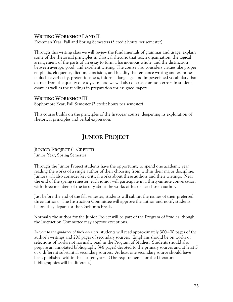# **WRITING WORKSHOP I AND II**

Freshman Year, Fall and Spring Semesters (3 credit hours per semester)

Through this writing class we will review the fundamentals of grammar and usage, explain some of the rhetorical principles in classical rhetoric that teach organization, the logical arrangement of the parts of an essay to form a harmonious whole, and the distinction between average, good, and excellent writing. The course also considers virtues like proper emphasis, eloquence, diction, concision, and lucidity that enhance writing and examines faults like verbosity, pretentiousness, informal language, and impoverished vocabulary that detract from the quality of essays. In class we will also discuss common errors in student essays as well as the readings in preparation for assigned papers.

# **WRITING WORKSHOP III**

Sophomore Year, Fall Semester (3 credit hours per semester)

This course builds on the principles of the first-year course, deepening its exploration of rhetorical principles and verbal expression.

# **JUNIOR PROJECT**

# **JUNIOR PROJECT (1 CREDIT)**

Junior Year, Spring Semester

Through the Junior Project students have the opportunity to spend one academic year reading the works of a single author of their choosing from within their major discipline. Juniors will also consider key critical works about these authors and their writings. Near the end of the spring semester, each junior will participate in a thirty-minute conversation with three members of the faculty about the works of his or her chosen author.

Just before the end of the fall semester, students will submit the names of their preferred three authors. The Instruction Committee will approve the author and notify students before they depart for the Christmas break.

Normally the author for the Junior Project will be part of the Program of Studies, though the Instruction Committee may approve exceptions.

*Subject to the guidance of their advisors*, students will read approximately 300-400 pages of the author's writings and 200 pages of secondary sources. Emphasis should be on works or selections of works not normally read in the Program of Studies. Students should also prepare an annotated bibliography (4-8 pages) devoted to the primary sources and at least 5 or 6 different substantial secondary sources. At least one secondary source should have been published within the last ten years. (The requirements for the Literature bibliographies will be different.)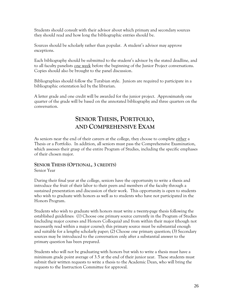Students should consult with their advisor about which primary and secondary sources they should read and how long the bibliographic entries should be.

Sources should be scholarly rather than popular. A student's advisor may approve exceptions.

Each bibliography should be submitted to the student's advisor by the stated deadline, and to all faculty panelists one week before the beginning of the Junior Project conversations. Copies should also be brought to the panel discussion.

Bibliographies should follow the Turabian style. Juniors are required to participate in a bibliographic orientation led by the librarian.

A letter grade and one credit will be awarded for the junior project. Approximately one quarter of the grade will be based on the annotated bibliography and three quarters on the conversation.

# **SENIOR THESIS, PORTFOLIO, AND COMPREHENSIVE EXAM**

As seniors near the end of their careers at the college, they choose to complete either a Thesis or a Portfolio. In addition, all seniors must pass the Comprehensive Examination, which assesses their grasp of the entire Program of Studies, including the specific emphases of their chosen major.

#### **SENIOR THESIS (OPTIONAL, 3 CREDITS)** Senior Year

During their final year at the college, seniors have the opportunity to write a thesis and introduce the fruit of their labor to their peers and members of the faculty through a sustained presentation and discussion of their work. This opportunity is open to students who wish to graduate with honors as well as to students who have not participated in the Honors Program.

Students who wish to graduate with honors must write a twenty-page thesis following the established guidelines: (1) Choose one primary source currently in the Program of Studies (including major courses and Honors Colloquia) and from within their major (though not necessarily read within a major course); this primary source must be substantial enough and suitable for a lengthy scholarly paper; (2) Choose one primary question; (3) Secondary sources may be introduced to the conversation only after a substantial answer to the primary question has been prepared.

Students who will not be graduating with honors but wish to write a thesis must have a minimum grade point average of 3.5 at the end of their junior year. These students must submit their written requests to write a thesis to the Academic Dean, who will bring the requests to the Instruction Committee for approval.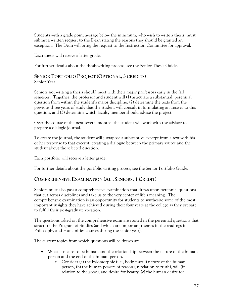Students with a grade point average below the minimum, who wish to write a thesis, must submit a written request to the Dean stating the reasons they should be granted an exception. The Dean will bring the request to the Instruction Committee for approval.

Each thesis will receive a letter grade.

For further details about the thesis-writing process, see the Senior Thesis Guide.

# **SENIOR PORTFOLIO PROJECT (OPTIONAL, 3 CREDITS)**

Senior Year

Seniors not writing a thesis should meet with their major professors early in the fall semester. Together, the professor and student will (1) articulate a substantial, perennial question from within the student's major discipline, (2) determine the texts from the previous three years of study that the student will consult in formulating an answer to this question, and (3) determine which faculty member should advise the project.

Over the course of the next several months, the student will work with the advisor to prepare a dialogic journal.

To create the journal, the student will juxtapose a substantive excerpt from a text with his or her response to that excerpt, creating a dialogue between the primary source and the student about the selected question.

Each portfolio will receive a letter grade.

For further details about the portfolio-writing process, see the Senior Portfolio Guide.

# **COMPREHENSIVE EXAMINATION (ALL SENIORS, 1 CREDIT)**

Seniors must also pass a comprehensive examination that draws upon perennial questions that cut across disciplines and take us to the very center of life's meaning. The comprehensive examination is an opportunity for students to synthesize some of the most important insights they have achieved during their four years at the college as they prepare to fulfill their post-graduate vocation.

The questions asked on the comprehensive exam are rooted in the perennial questions that structure the Program of Studies (and which are important themes in the readings in Philosophy and Humanities courses during the senior year).

The current topics from which questions will be drawn are:

- What it means to be human and the relationship between the nature of the human person and the end of the human person.
	- o Consider (a) the hylomorphic (i.e., body + soul) nature of the human person, (b) the human powers of reason (in relation to truth), will (in relation to the good), and desire for beauty, (c) the human desire for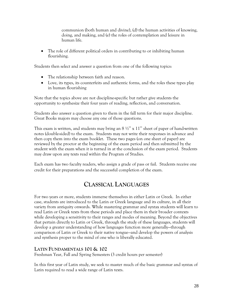communion (both human and divine), (d) the human activities of knowing, doing, and making, and (e) the roles of contemplation and leisure in human life.

• The role of different political orders in contributing to or inhibiting human flourishing.

Students then select and answer a question from one of the following topics:

- The relationship between faith and reason.
- Love, its types, its counterfeits and authentic forms, and the roles these types play in human flourishing

Note that the topics above are not discipline-specific but rather give students the opportunity to synthesize their four years of reading, reflection, and conversation.

Students also answer a question given to them in the fall term for their major discipline. Great Books majors may choose any one of those questions.

This exam is written, and students may bring an  $8\frac{1}{2}$ " x 11" sheet of paper of hand-written notes (double-sided) to the exam. Students may not write their responses in advance and then copy them into the exam booklet. These two pages (on one sheet of paper) are reviewed by the proctor at the beginning of the exam period and then submitted by the student with the exam when it is turned in at the conclusion of the exam period. Students may draw upon any texts read within the Program of Studies.

Each exam has two faculty readers, who assign a grade of pass or fail. Students receive one credit for their preparations and the successful completion of the exam.

# **CLASSICAL LANGUAGES**

For two years or more, students immerse themselves in either Latin or Greek. In either case, students are introduced to the Latin or Greek language and its culture, in all their variety from antiquity onwards. While mastering grammar and syntax students will learn to read Latin or Greek texts from these periods and place them in their broader contexts while developing a sensitivity to their ranges and modes of meaning. Beyond the objectives that pertain directly to Latin or Greek, through the study of these languages, students will develop a greater understanding of how languages function more generally—through comparison of Latin or Greek to their native tongue—and develop the powers of analysis and synthesis proper to the mind of one who is liberally educated.

# **LATIN FUNDAMENTALS 101 & 102**

Freshman Year, Fall and Spring Semesters (3 credit hours per semester)

In this first year of Latin study, we seek to master much of the basic grammar and syntax of Latin required to read a wide range of Latin texts.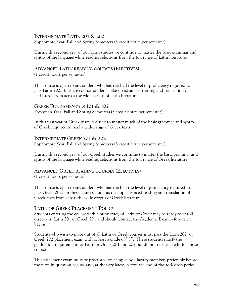# **INTERMEDIATE LATIN 201 & 202**

Sophomore Year, Fall and Spring Semesters (3 credit hours per semester)

During this second year of our Latin studies we continue to master the basic grammar and syntax of the language while reading selections from the full range of Latin literature.

### **ADVANCED LATIN READING COURSES (ELECTIVES)**

(1 credit hours per semester)

This course is open to any student who has reached the level of proficiency required to pass Latin 202. In these courses students take up advanced reading and translation of Latin texts from across the wide corpus of Latin literature.

### **GREEK FUNDAMENTALS 101 & 102**

Freshman Year, Fall and Spring Semesters (3 credit hours per semester)

In this first year of Greek study, we seek to master much of the basic grammar and syntax of Greek required to read a wide range of Greek texts.

### **INTERMEDIATE GREEK 201 & 202**

Sophomore Year, Fall and Spring Semesters (3 credit hours per semester)

During this second year of our Greek studies we continue to master the basic grammar and syntax of the language while reading selections from the full range of Greek literature.

#### **ADVANCED GREEK READING COURSES (ELECTIVES)**

(1 credit hours per semester)

This course is open to any student who has reached the level of proficiency required to pass Greek 202. In these courses students take up advanced reading and translation of Greek texts from across the wide corpus of Greek literature.

# **LATIN OR GREEK PLACEMENT POLICY**

Students entering the college with a prior study of Latin or Greek may be ready to enroll directly in Latin 201 or Greek 201 and should contact the Academic Dean before term begins.

Students who wish to place out of all Latin or Greek courses must pass the Latin 202 or Greek 202 placement exam with at least a grade of "C". These students satisfy the graduation requirement for Latin or Greek 201 and 202 but do not receive credit for those courses.

This placement exam must be proctored on campus by a faculty member, preferably before the term in question begins, and, at the very latest, before the end of the add/drop period.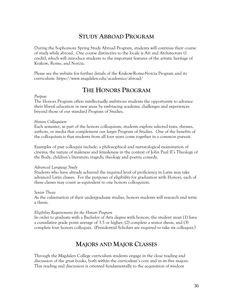# **STUDY ABROAD PROGRAM**

During the Sophomore Spring Study Abroad Program, students will continue their course of study while abroad. One course distinctive to the locale is Art and Architecture (1 credit), which will introduce students to the important features of the artistic heritage of Krakow, Rome, and Norcia.

Please see the website for further details of the Krakow-Rome-Norcia Program and its curriculum: https://www.magdalen.edu/academics/abroad/

# **THE HONORS PROGRAM**

#### *Purpose*

The Honors Program offers intellectually ambitious students the opportunity to advance their liberal education in new areas by embracing academic challenges and experiences beyond those of our standard Program of Studies.

#### *Honors Colloquium*

Each semester, as part of the honors colloquium, students explore selected texts, themes, authors, or media that complement our larger Program of Studies. One of the benefits of the colloquium is that students from all four years come together in a common pursuit.

Examples of past colloquia include: a philosophical and narratological examination of cinema; the nature of maleness and femaleness in the context of John Paul II's Theology of the Body; children's literature; tragedy; theology and poetry; comedy.

#### *Advanced Language Study*

Students who have already achieved the required level of proficiency in Latin may take advanced Latin classes. For the purposes of eligibility for graduation with Honors, each of these classes may count as equivalent to one honors colloquium.

#### *Senior Thesis*

As the culmination of their undergraduate studies, honors students will research and write a thesis.

#### *Eligibility Requirements for the Honors Program*

In order to graduate with a Bachelor of Arts degree with honors, the student must (1) have a cumulative grade point average of 3.5 or higher, (2) complete a senior thesis, and (3) complete four honors colloquia. (Presidential Scholars are required to take six colloquia.)

# **MAJORS AND MAJOR CLASSES**

Through the Magdalen College curriculum students engage in the close reading and discussion of the great books, both within the curriculum's core and in its five majors. This reading and discussion is oriented fundamentally to the acquisition of wisdom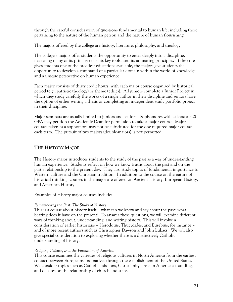through the careful consideration of questions fundamental to human life, including those pertaining to the nature of the human person and the nature of human flourishing.

The majors offered by the college are history, literature, philosophy, and theology

The college's majors offer students the opportunity to enter deeply into a discipline, mastering many of its primary texts, its key tools, and its animating principles. If the core gives students one of the broadest educations available, the majors give students the opportunity to develop a command of a particular domain within the world of knowledge and a unique perspective on human experience.

Each major consists of thirty credit hours, with each major course organized by historical period (e.g., patristic theology) or theme (ethics). All juniors complete a Junior Project in which they study carefully the works of a single author in their discipline and seniors have the option of either writing a thesis or completing an independent study portfolio project in their discipline.

Major seminars are usually limited to juniors and seniors. Sophomores with at least a 3.00 GPA may petition the Academic Dean for permission to take a major course. Major courses taken as a sophomore may not be substituted for the one required major course each term. The pursuit of two majors (double-majors) is not permitted.

# **THE HISTORY MAJOR**

The History major introduces students to the study of the past as a way of understanding human experience. Students reflect on how we know truths about the past and on the past's relationship to the present day. They also study topics of fundamental importance to Western culture and the Christian tradition. In addition to the course on the nature of historical thinking, courses in the major are offered on Ancient History, European History, and American History.

Examples of History major courses include:

#### *Remembering the Past: The Study of History*

This is a course about history itself – what can we know and say about the past? what bearing does it have on the present? To answer these questions, we will examine different ways of thinking about, understanding, and writing history. This will involve a consideration of earlier historians – Herodotus, Thucydides, and Eusebius, for instance – and of more recent authors such as Christopher Dawson and John Lukacs. We will also give special consideration to exploring whether there is a distinctively Catholic understanding of history.

#### *Religion, Culture, and the Formation of America*

This course examines the varieties of religious cultures in North America from the earliest contact between Europeans and natives through the establishment of the United States. We consider topics such as Catholic missions, Christianity's role in America's founding, and debates on the relationship of church and state.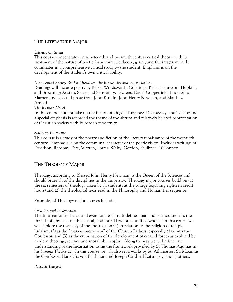# **THE LITERATURE MAJOR**

#### *Literary Criticism*

This course concentrates on nineteenth and twentieth century critical theory, with its treatment of the nature of poetic form, mimetic theory, genre, and the imagination. It culminates in a comprehensive critical study by the student. Emphasis is on the development of the student's own critical ability.

*Nineteenth-Century British Literature: the Romantics and the Victorians*

Readings will include poetry by Blake, Wordsworth, Coleridge, Keats, Tennyson, Hopkins, and Browning; Austen, Sense and Sensibility, Dickens, David Copperfield, Eliot, Silas Marner, and selected prose from John Ruskin, John Henry Newman, and Matthew Arnold.

#### *The Russian Novel*

In this course student take up the fiction of Gogol, Turgenev, Dostoevsky, and Tolstoy and a special emphasis is accorded the theme of the abrupt and relatively belated confrontation of Christian society with European modernity.

#### *Southern Literature*

This course is a study of the poetry and fiction of the literary renaissance of the twentieth century. Emphasis is on the communal character of the poetic vision. Includes writings of Davidson, Ransom, Tate, Warren, Porter, Welty, Gordon, Faulkner, O'Connor.

# **THE THEOLOGY MAJOR**

Theology, according to Blessed John Henry Newman, is the Queen of the Sciences and should order all of the disciplines in the university. Theology major courses build on (1) the six semesters of theology taken by all students at the college (equaling eighteen credit hours) and (2) the theological texts read in the Philosophy and Humanities sequence.

Examples of Theology major courses include:

#### *Creation and Incarnation*

The Incarnation is the central event of creation. It defines man and cosmos and ties the threads of physical, mathematical, and moral law into a unified whole. In this course we will explore the theology of the Incarnation (1) in relation to the religion of temple Judaism, (2) as the "man-as-microcosm" of the Church Fathers, especially Maximus the Confessor, and (3) as the culmination of the development of created forces as explored by modern theology, science and moral philosophy. Along the way we will refine our understanding of the Incarnation using the framework provided by St Thomas Aquinas in his *Summa Theologiae*. In this course we will also read works by St. Athanasius, St. Maximus the Confessor, Hans Urs von Balthasar, and Joseph Cardinal Ratzinger, among others.

#### *Patristic Exegesis*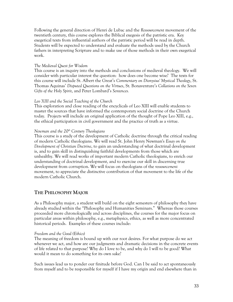Following the general direction of Henri de Lubac and the *Ressourcement* movement of the twentieth century, this course explores the Biblical exegesis of the patristic era. Key exegetical texts from influential authors of the patristic period will be read in depth. Students will be expected to understand and evaluate the methods used by the Church fathers in interpreting Scripture and to make use of those methods in their own exegetical work.

#### *The Medieval Quest for Wisdom*

This course is an inquiry into the methods and conclusions of medieval theology. We will consider with particular interest the question: how does one become wise? The texts for this course will include St. Albert the Great's *Commentary on Dionysius' Mystical Theology*, St. Thomas Aquinas' *Disputed Questions on the Virtues*, St. Bonaventure's *Collations on the Seven Gifts of the Holy Spirit*, and Peter Lombard's *Sentences.*

#### *Leo XIII and the Social Teaching of the Church*

This exploration and close reading of the encyclicals of Leo XIII will enable students to master the sources that have informed the contemporary social doctrine of the Church today. Projects will include an original application of the thought of Pope Leo XIII, e.g., the ethical participation in civil government and the practice of truth as a virtue.

#### *Newman and the 20th Century Theologians*

This course is a study of the development of Catholic doctrine through the critical reading of modern Catholic theologians. We will read St. John Henry Newman's *Essay on the Development of Christian Doctrine*, to gain an understanding of what doctrinal development is, and to gain skill in distinguishing faithful developments from those which are unhealthy. We will read works of important modern Catholic theologians, to enrich our understanding of doctrinal development, and to exercise our skill in discerning true development from corruption. We will focus on theologians of the *ressourcement* movement, to appreciate the distinctive contribution of that movement to the life of the modern Catholic Church.

# **THE PHILOSOPHY MAJOR**

As a Philosophy major, a student will build on the eight semesters of philosophy they have already studied within the "Philosophy and Humanities Seminars." Whereas those courses proceeded more chronologically and across disciplines, the courses for the major focus on particular areas within philosophy, e.g., metaphysics, ethics, as well as more concentrated historical periods. Examples of these courses include:

#### *Freedom and the Good (Ethics)*

The meaning of freedom is bound up with our root desires. For what purpose do we act whenever we act, and how are our judgments and dramatic decisions in the concrete events of life related to that purpose? Why do I love to be, and why do I will to be good? What would it mean to do something for its own sake?

Such issues lead us to ponder our finitude before God. Can I be said to act spontaneously from myself and to be responsible for myself if I have my origin and end elsewhere than in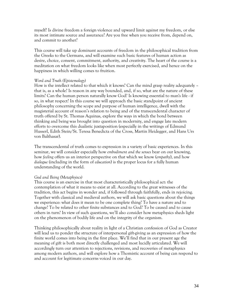myself? Is divine freedom a foreign violence and upward limit against my freedom, or else its most intimate source and assurance? Are you free when you receive from, depend on, and commit to another?

This course will take up dominant accounts of freedom in the philosophical tradition from the Greeks to the Germans, and will examine such basic features of human action as desire, choice, consent, commitment, authority, and creativity. The heart of the course is a meditation on what freedom looks like when most perfectly exercised, and hence on the happiness in which willing comes to fruition.

#### *Word and Truth (Epistemology)*

How is the intellect related to that which it knows? Can the mind grasp reality adequately – that is, as a whole? Is reason in any way bounded, and, if so, what are the nature of these limits? Can the human person naturally know God? Is knowing essential to man's life - if so, in what respect? In this course we will approach the basic standpoint of ancient philosophy concerning the scope and purpose of human intelligence, dwell with the magisterial account of reason's relation to being and of the transcendental character of truth offered by St. Thomas Aquinas, explore the ways in which the bond between thinking and being was brought into question in modernity, and engage late modern efforts to overcome this dualistic juxtaposition (especially in the writings of Edmund Husserl, Edith Stein/St. Teresa Benedicta of the Cross, Martin Heidegger, and Hans Urs von Balthasar).

The transcendental of truth comes to expression in a variety of basic experiences. In this seminar, we will consider especially how *embodiment and the senses* bear on our knowing, how *feeling* offers us an interior perspective on that which we know (*empathy*), and how *dialogue* (including in the form of *education*) is the proper locus for a fully human understanding of the world.

#### *God and Being (Metaphyiscs)*

This course is an exercise in that most characteristically philosophical act: the contemplation of what it means to exist at all. According to the great witnesses of the tradition, this act begins in wonder and, if followed through faithfully, ends in rejoicing. Together with classical and medieval authors, we will ask basic questions about the things we experience: what does it mean to be one complete thing? To have a nature and to change? To be related to other finite substances and to God? To be caused and to cause others in turn? In view of such questions, we'll also consider how metaphysics sheds light on the phenomenon of bodily life and on the integrity of the organism.

Thinking philosophically about reality in light of a Christian confession of God as Creator will lead us to ponder the structure of interpersonal gift-giving as an expression of how the finite world comes into being in the first place. We'll find that in our present age the meaning of gift is both most directly challenged and most lucidly articulated. We will accordingly turn our attention to rejections, revisions, and recoveries of metaphysics among modern authors, and will explore how a Thomistic account of being can respond to and account for legitimate concerns voiced in our day.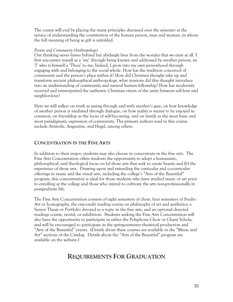The course will end by placing the many principles discussed over the semester at the service of understanding the constitution of the human person, man and woman, in whom the full meaning of being as gift is unfolded.

#### *Person and Community (Anthropology)*

Our thinking never leaves behind but abidingly lives from the wonder that we exist at all. I first encounter myself as a 'me' through being known and addressed by another person, an 'I' who is himself a 'Thou' to me. Indeed, I grow into my own personhood through engaging with and belonging to the social whole. How has the tradition conceived of community and the person's place within it? How did Christian thought take up and transform ancient philosophical anthropology, what tensions did this thought introduce into an understanding of community and natural human fellowship? How has modernity received and reinterpreted the authentic Christian vision of the unity between self-love and neighbor-love?

Here we will reflect on truth as seeing through and with another's gaze, on how knowledge of another person is mediated through dialogue, on how reality is meant to be enjoyed in common, on friendship as the locus of self-becoming, and on family as the most basic and most paradigmatic expression of community. The primary authors read in this course include Aristotle, Augustine, and Hegel, among others.

# **CONCENTRATION IN THE FINE ARTS**

In addition to their major, students may also choose to concentrate in the fine arts. The Fine Arts Concentration offers students the opportunity to adopt a humanistic, philosophical, and theological focus on (a) those arts that seek to create beauty and (b) the experience of those arts. Drawing upon and extending the curricular and co-curricular offerings in music and the visual arts, including the college's "Arts of the Beautiful" program, this concentration is ideal for those students who have studied music or art prior to enrolling at the college and those who intend to cultivate the arts non-professionally in postgraduate life.

The Fine Arts Concentration consists of eight semesters of choir, four semesters of Studio Art or Iconography, the one-credit reading course on philosophy of art and aesthetics; a Senior Thesis or Portfolio devoted to a topic in the fine arts, and an optional directed readings course, recital, or exhibition. Students seeking the Fine Arts Concentration will also have the opportunity to participate in either the Polyphony Choir or Chant Schola, and will be encouraged to participate in the spring-semester theatrical production and "Arts of the Beautiful" events. (Details about these courses are available in the "Music and Art" sections of the Catalog. Details about the "Arts of the Beautiful" program are available on the website.)

# **REQUIREMENTS FOR GRADUATION**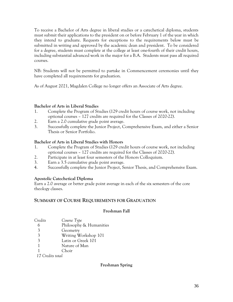To receive a Bachelor of Arts degree in liberal studies or a catechetical diploma, students must submit their applications to the president on or before February 1 of the year in which they intend to graduate. Requests for exceptions to the requirements below must be submitted in writing and approved by the academic dean and president. To be considered for a degree, students must complete at the college at least one-fourth of their credit hours, including substantial advanced work in the major for a B.A. Students must pass all required courses.

NB: Students will not be permitted to partake in Commencement ceremonies until they have completed all requirements for graduation.

As of August 2021, Magdalen College no longer offers an Associate of Arts degree.

### **Bachelor of Arts in Liberal Studies**

- 1. Complete the Program of Studies (129 credit hours of course work, not including optional courses – 127 credits are required for the Classes of 2020-22).
- 2. Earn a 2.0 cumulative grade point average.
- 3. Successfully complete the Junior Project, Comprehensive Exam, and either a Senior Thesis or Senior Portfolio.

### **Bachelor of Arts in Liberal Studies with Honors**

- 1. Complete the Program of Studies (129 credit hours of course work, not including optional courses – 127 credits are required for the Classes of 2020-22).
- 2. Participate in at least four semesters of the Honors Colloquium.
- 3. Earn a 3.5 cumulative grade point average.
- 4. Successfully complete the Junior Project, Senior Thesis, and Comprehensive Exam.

#### **Apostolic Catechetical Diploma**

Earn a 2.0 average or better grade point average in each of the six semesters of the core theology classes.

# **SUMMARY OF COURSE REQUIREMENTS FOR GRADUATION**

#### **Freshman Fall**

| Credits       | Course Type             |
|---------------|-------------------------|
| 6             | Philosophy & Humanities |
| $\mathcal{Z}$ | Geometry                |
|               | Writing Workshop 101    |

- 3 Writing Workshop 101
- 3 Latin or Greek 101
- 1 Nature of Man
- 1 Choir

 *17 Credits total*

#### **Freshman Spring**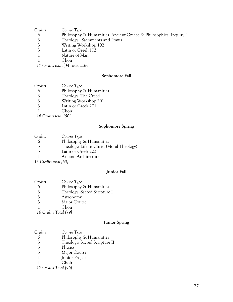| Credits | Course Type                                                       |
|---------|-------------------------------------------------------------------|
|         | Philosophy & Humanities: Ancient Greece & Philosophical Inquiry I |
|         | Theology: Sacraments and Prayer                                   |
|         | Writing Workshop 102                                              |
|         | Latin or Greek 102                                                |
|         | Nature of Man                                                     |
|         | Choir                                                             |
|         | $\overline{\mathbf{1}}$                                           |

*Credits total* [*34 cumulative*]

#### **Sophomore Fall**

| Credits | Course Type             |
|---------|-------------------------|
| 6       | Philosophy & Humanities |
| 3       | Theology: The Creed     |
| 3       | Writing Workshop 201    |
| 3       | Latin or Greek 201      |
|         | Choir                   |

*Credits total [50]*

#### **Sophomore Spring**

| Credits                     | Course Type                               |
|-----------------------------|-------------------------------------------|
|                             | Philosophy & Humanities                   |
| $\overline{3}$              | Theology: Life in Christ (Moral Theology) |
| $\mathcal{E}$               | Latin or Greek 202                        |
|                             | Art and Architecture                      |
| $12 \cap 1$ $\ldots$ $1621$ |                                           |

*Credits total [63]*

#### **Junior Fall**

| Credits | Course Type                  |
|---------|------------------------------|
| 6       | Philosophy & Humanities      |
| 3       | Theology: Sacred Scripture I |
| 3       | Astronomy                    |
| 3       | Major Course                 |
|         | Choir                        |
| 1/7     | 1.77.1501                    |

*Credits Total [79]*

#### **Junior Spring**

| Credits | Course Type |  |
|---------|-------------|--|
|         |             |  |

Philosophy & Humanities

- Theology: Sacred Scripture II
- 3 Physics<br>3 Major (
- Major Course
- 1 Junior Project<br>1 Choir
- Choir
- *Credits Total [96]*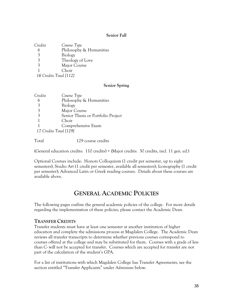#### **Senior Fall**

| Credits | Course Type             |
|---------|-------------------------|
|         | Philosophy & Humanities |
| 3       | Biology                 |
| 3       | Theology of Love        |
| 3       | Major Course            |
|         | Choir                   |
|         | $17.0 \pm T.11111$      |

 *16 Credits Total [112]*

#### **Senior Spring**

| Credits | Course Type                        |
|---------|------------------------------------|
| 6       | Philosophy & Humanities            |
| 3       | Biology                            |
| 3       | Major Course                       |
| 3       | Senior Thesis or Portfolio Project |
|         | Choir                              |
|         | Comprehensive Exam                 |
|         | 17 Credits Total [129]             |

Total 129 course credits

(General education credits: 110 credits) + (Major credits: 30 credits, incl. 11 gen. ed.)

Optional Courses include: Honors Colloquium (1 credit per semester, up to eight semesters); Studio Art (1 credit per semester, available all semesters); Iconography (1 credit per semester); Advanced Latin or Greek reading courses. Details about these courses are available above.

# **GENERAL ACADEMIC POLICIES**

The following pages outline the general academic policies of the college. For more details regarding the implementation of these policies, please contact the Academic Dean.

#### **TRANSFER CREDITS**

Transfer students must have at least one semester at another institution of higher education and complete the admissions process at Magdalen College. The Academic Dean reviews all transfer transcripts to determine whether previous courses correspond to courses offered at the college and may be substituted for them. Courses with a grade of less than C- will not be accepted for transfer. Courses which are accepted for transfer are not part of the calculation of the student's GPA.

For a list of institutions with which Magdalen College has Transfer Agreements, see the section entitled "Transfer Applicants" under *Admissions* below.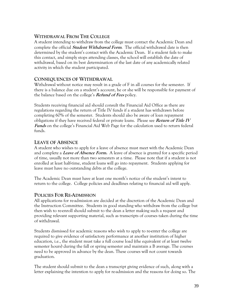# **WITHDRAWAL FROM THE COLLEGE**

A student intending to withdraw from the college must contact the Academic Dean and complete the official **Student Withdrawal Form**. The official withdrawal date is then determined by the student's contact with the Academic Dean. If a student fails to make this contact, and simply stops attending classes, the school will establish the date of withdrawal, based on its best determination of the last date of any academically related activity in which the student participated.

# **CONSEQUENCES OF WITHDRAWAL**

Withdrawal without notice may result in a grade of F in all courses for the semester. If there is a balance due on a student's account, he or she will be responsible for payment of the balance based on the college's **Refund of Fees** policy.

Students receiving financial aid should consult the Financial Aid Office as there are regulations regarding the return of Title IV funds if a student has withdrawn before completing 60% of the semester. Students should also be aware of loan repayment obligations if they have received federal or private loans. Please see **Return of Title IV Funds** on the college's Financial Aid Web Page for the calculation used to return federal funds.

# **LEAVE OF ABSENCE**

A student who wishes to apply for a leave of absence must meet with the Academic Dean and complete a **Leave of Absence Form.** A leave of absence is granted for a specific period of time, usually not more than two semesters at a time. Please note that if a student is not enrolled at least half-time, student loans will go into repayment. Students applying for leave must have no outstanding debts at the college.

The Academic Dean must have at least one month's notice of the student's intent to return to the college. College policies and deadlines relating to financial aid will apply.

# **POLICIES FOR RE-ADMISSION**

All applications for re-admission are decided at the discretion of the Academic Dean and the Instruction Committee. Students in good standing who withdraw from the college but then wish to re-enroll should submit to the dean a letter making such a request and providing relevant supporting material, such as transcripts of courses taken during the time of withdrawal.

Students dismissed for academic reasons who wish to apply to re-enter the college are required to give evidence of satisfactory performance at another institution of higher education, i.e., the student must take a full course load (the equivalent of at least twelve semester hours) during the fall or spring semester and maintain a B average. The courses need to be approved in advance by the dean. These courses will not count towards graduation.

The student should submit to the dean a transcript giving evidence of such, along with a letter explaining the intention to apply for re-admission and the reasons for doing so. The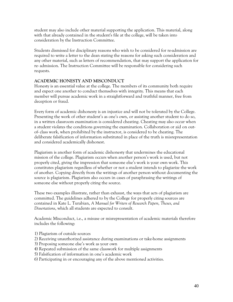student may also include other material supporting the application. This material, along with that already contained in the student's file at the college, will be taken into consideration by the Instruction Committee.

Students dismissed for disciplinary reasons who wish to be considered for re-admission are required to write a letter to the dean stating the reasons for asking such consideration and any other material, such as letters of recommendation, that may support the application for re- admission. The Instruction Committee will be responsible for considering such requests.

### **ACADEMIC HONESTY AND MISCONDUCT**

Honesty is an essential value at the college. The members of its community both require and expect one another to conduct themselves with integrity. This means that each member will pursue academic work in a straightforward and truthful manner, free from deception or fraud.

Every form of academic dishonesty is an injustice and will not be tolerated by the College. Presenting the work of other student's as one's own, or assisting another student to do so, in a written classroom examination is considered cheating. Cheating may also occur when a student violates the conditions governing the examination. Collaboration or aid on outof- class work, when prohibited by the instructor, is considered to be cheating. The deliberate falsification of information substituted in place of the truth is misrepresentation and considered academically dishonest.

Plagiarism is another form of academic dishonesty that undermines the educational mission of the college. Plagiarism occurs when another person's work is used, but not properly cited, giving the impression that someone else's work is your own work. This constitutes plagiarism regardless of whether or not a student intends to plagiarize the work of another. Copying directly from the writings of another person without documenting the source is plagiarism. Plagiarism also occurs in cases of paraphrasing the writings of someone else without properly citing the source.

These two examples illustrate, rather than exhaust, the ways that acts of plagiarism are committed. The guidelines adhered to by the College for properly citing sources are contained in Kate L. Turabian, *A Manual for Writers of Research Papers, Theses, and Dissertations*, which all students are expected to consult.

Academic Misconduct, i.e., a misuse or misrepresentation of academic materials therefore includes the following:

- 1) Plagiarism of outside sources
- 2) Receiving unauthorized assistance during examinations or take-home assignments
- 3) Proposing someone else's work as your own
- 4) Repeated submission of the same classwork for multiple assignments
- 5) Falsification of information in one's academic work
- 6) Participating in or encouraging any of the above mentioned activities.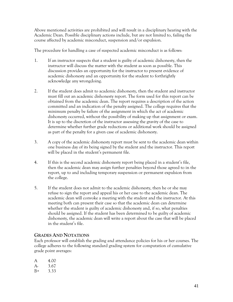Above mentioned activities are prohibited and will result in a disciplinary hearing with the Academic Dean. Possible disciplinary actions include, but are not limited to, failing the course affected by academic misconduct, suspension and/or expulsion.

The procedure for handling a case of suspected academic misconduct is as follows:

- 1. If an instructor suspects that a student is guilty of academic dishonesty, then the instructor will discuss the matter with the student as soon as possible. This discussion provides an opportunity for the instructor to present evidence of academic dishonesty and an opportunity for the student to forthrightly acknowledge any wrongdoing.
- 2. If the student does admit to academic dishonesty, then the student and instructor must fill out an academic dishonesty report. The form used for this report can be obtained from the academic dean. The report requires a description of the action committed and an indication of the penalty assigned. The college requires that the minimum penalty be failure of the assignment in which the act of academic dishonesty occurred, without the possibility of making up that assignment or exam. It is up to the discretion of the instructor assessing the gravity of the case to determine whether further grade reductions or additional work should be assigned as part of the penalty for a given case of academic dishonesty.
- 3. A copy of the academic dishonesty report must be sent to the academic dean within one business day of its being signed by the student and the instructor. This report will be placed in the student's permanent file.
- 4. If this is the second academic dishonesty report being placed in a student's file, then the academic dean may assign further penalties beyond those agreed to in the report, up to and including temporary suspension or permanent expulsion from the college.
- 5. If the student does not admit to the academic dishonesty, then he or she may refuse to sign the report and appeal his or her case to the academic dean. The academic dean will convoke a meeting with the student and the instructor. At this meeting both can present their case so that the academic dean can determine whether the student is guilty of academic dishonesty and, if so, what penalties should be assigned. If the student has been determined to be guilty of academic dishonesty, the academic dean will write a report about the case that will be placed in the student's file.

# **GRADES AND NOTATIONS**

Each professor will establish the grading and attendance policies for his or her courses. The college adheres to the following standard grading system for computation of cumulative grade point averages:

| A    | 4.00 |
|------|------|
| $A-$ | 3.67 |
| $B+$ | 3.33 |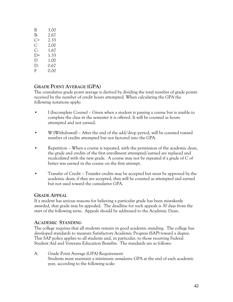| B    | 3.00 |
|------|------|
| B-   | 2.67 |
| C+   | 2.33 |
| C.   | 2.00 |
| C-   | 1.67 |
| D+   | 1.33 |
| D    | 1.00 |
| $D-$ | 0.67 |
| F    | 0.00 |

# **GRADE POINT AVERAGE (GPA)**

The cumulative grade point average is derived by dividing the total number of grade points received by the number of credit hours attempted. When calculating the GPA the following notations apply:

- I (Incomplete Course) Given when a student is passing a course but is unable to complete the class in the semester it is offered. It will be counted as hours attempted and not earned.
- W (Withdrawal) After the end of the add/drop period, will be counted toward number of credits attempted but not factored into the GPA.
- Repetition When a course is repeated, with the permission of the academic dean, the grade and credits of the first enrollment attempted/earned are replaced and recalculated with the new grade. A course may not be repeated if a grade of C of better was earned in the course on the first attempt.
- Transfer of Credit Transfer credits may be accepted but must be approved by the academic dean; if they are accepted, they will be counted as attempted and earned but not used toward the cumulative GPA.

#### **GRADE APPEAL**

If a student has serious reasons for believing a particular grade has been mistakenly awarded, that grade may be appealed. The deadline for such appeals is 30 days from the start of the following term. Appeals should be addressed to the Academic Dean.

#### **ACADEMIC STANDING**

The college requires that all students remain in good academic standing. The college has developed standards to measure Satisfactory Academic Progress (SAP) toward a degree. This SAP policy applies to all students and, in particular, to those receiving Federal Student Aid and Veterans Education Benefits. The standards are as follows:

A. Grade Point Average (GPA) Requirement Students must maintain a minimum *cumulative* GPA at the end of each academic year, according to the following scale: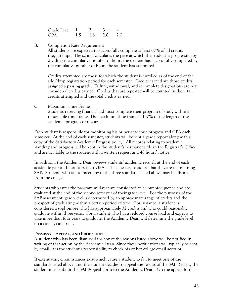| Grade Level 1 |    |     |     | 4   |
|---------------|----|-----|-----|-----|
| <b>GPA</b>    | 15 | 1.8 | 2.0 | 2.0 |

B. Completion Rate Requirement

All students are expected to successfully complete at least 67% of all credits they attempt. The school calculates the pace at which the student is progressing by dividing the cumulative number of hours the student has successfully completed by the cumulative number of hours the student has attempted.

Credits attempted are those for which the student is enrolled as of the end of the add/drop registration period for each semester. Credits earned are those credits assigned a passing grade. Failure, withdrawal, and incomplete designations are not considered credits earned. Credits that are repeated will be counted in the total credits attempted and the total credits earned.

C. Maximum Time Frame

Students receiving financial aid must complete their program of study within a reasonable time frame. The maximum time frame is 150% of the length of the academic program or 6 years.

Each student is responsible for monitoring his or her academic progress and GPA each semester. At the end of each semester, students will be sent a grade report along with a copy of the Satisfactory Academic Progress policy. All records relating to academic standing and progress will be kept in the student's permanent file in the Registrar's Office and are available to the student with a written request and 48 hours' notice.

In addition, the Academic Dean reviews students' academic records at the end of each academic year and monitors their GPA each semester, to assure that they are maintaining SAP. Students who fail to meet any of the three standards listed above may be dismissed from the college.

Students who enter the program mid-year are considered to be out-of-sequence and are evaluated at the end of the second semester of their grade-level. For the purposes of the SAP assessment, grade-level is determined by an approximate range of credits and the prospect of graduating within a certain period of time. For instance, a student is considered a sophomore who has approximately 32 credits and who could reasonably graduate within three years. For a student who has a reduced course load and expects to take more than four years to graduate, the Academic Dean will determine the grade-level on a case-by-case basis.

#### **DISMISSAL, APPEAL, AND PROBATION**

A student who has been dismissed for any of the reasons listed above will be notified in writing of that action by the Academic Dean. Since these notifications will typically be sent by email, it is the student's responsibility to check his or her college email account.

If extenuating circumstances exist which cause a student to fail to meet one of the standards listed above, and the student decides to appeal the results of the SAP Review, the student must submit the SAP Appeal Form to the Academic Dean. On the appeal form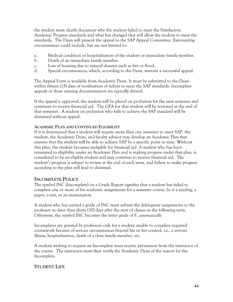the student must clearly document why the student failed to meet the Satisfactory Academic Progress standards and what has changed that will allow the student to meet the standards. The Dean will present the appeal to the SAP Appeal Committee. Extenuating circumstances could include, but are not limited to:

- a. Medical condition or hospitalization of the student or immediate family member.
- b. Death of an immediate family member.
- c. Loss of housing due to natural disaster such as fire or flood.
- d. Special circumstances, which, according to the Dean, warrant a successful appeal.

The Appeal Form is available from Academic Dean. It must be submitted to the Dean within fifteen (15) days of notification of failure to meet the SAP standards. Incomplete appeals or those missing documentation are typically denied.

If the appeal is approved, the student will be placed on probation for the next semester and continues to receive financial aid. The GPA for that student will be reviewed at the end of that semester. A student on probation who fails to achieve the SAP standard will be dismissed without appeal.

#### **ACADEMIC PLAN AND CONTINUED ELIGIBILITY**

If it is determined that a student will require more than one semester to meet SAP, the student, the Academic Dean, and faculty advisor may develop an Academic Plan that ensures that the student will be able to achieve SAP by a specific point in time. Without this plan, the student becomes ineligible for financial aid. A student who has been reinstated to eligibility under an Academic Plan and is making progress under that plan, is considered to be an eligible student and may continue to receive financial aid. The student's progress is subject to review at the end of each term, and failure to make progress according to the plan will lead to dismissal.

#### **INCOMPLETE POLICY**

The symbol INC (Incomplete) on a Grade Report signifies that a student has failed to complete one or more of his academic assignments for a semester course, be it a reading, a paper, a test, or an examination.

A student who has earned a grade of INC must submit the delinquent assignments to the professor no later than thirty (30) days after the start of classes in the following term. Otherwise, the symbol INC becomes the letter grade of F, *automatically.*

Incompletes are granted by professors only for a student unable to complete required coursework because of serious circumstances beyond his or her control, i.e., a serious illness, hospitalization, death of a close family member, etc.

A student wishing to request an Incomplete must receive permission from the instructor of the course. The instructor must then notify the Academic Dean of the reason for the Incomplete.

# **STUDENT LIFE**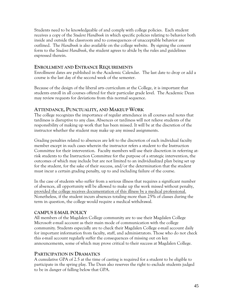Students need to be knowledgeable of and comply with college policies. Each student receives a copy of the *Student Handbook* in which specific policies relating to behavior both inside and outside the classroom and to consequences of unacceptable behavior are outlined. The *Handbook* is also available on the college website. By signing the consent form to the *Student Handbook*, the student agrees to abide by the rules and guidelines expressed therein.

#### **ENROLLMENT AND ENTRANCE REQUIREMENTS**

Enrollment dates are published in the Academic Calendar. The last date to drop or add a course is the last day of the second week of the semester.

Because of the design of the liberal arts curriculum at the College, it is important that students enroll in all courses offered for their particular grade level. The Academic Dean may review requests for deviations from this normal sequence.

### **ATTENDANCE, PUNCTUALITY, AND MAKEUP WORK**

The college recognizes the importance of regular attendance in all courses and notes that tardiness is disruptive to any class. Absences or tardiness will not relieve students of the responsibility of making up work that has been missed. It will be at the discretion of the instructor whether the student may make up any missed assignments.

Grading penalties related to absences are left to the discretion of each individual faculty member except in such cases wherein the instructor refers a student to the Instruction Committee for their intervention. Faculty members will use their discretion in referring atrisk students to the Instruction Committee for the purpose of a strategic intervention, the outcomes of which may include but are not limited to an individualized plan being set up for the student, for the sake of their success, and/or the determination that the student must incur a certain grading penalty, up to and including failure of the course.

In the case of students who suffer from a serious illness that requires a significant number of absences, all opportunity will be allowed to make up the work missed without penalty, provided the college receives documentation of this illness by a medical professional. Nonetheless, if the student incurs absences totaling more than 25% of classes during the term in question, the college would require a medical withdrawal.

# **CAMPUS EMAIL POLICY**

All members of the Magdalen College community are to use their Magdalen College Microsoft e-mail account as their main mode of communication with the college community. Students especially are to check their Magdalen College e-mail account daily for important information from faculty, staff, and administrators. Those who do not check this e-mail account regularly suffer the consequences of missing out on key announcements, some of which may prove critical to their success at Magdalen College.

# **PARTICIPATION IN DRAMATICS**

A cumulative GPA of 2.5 at the time of casting is required for a student to be eligible to participate in the spring play. The Dean also reserves the right to exclude students judged to be in danger of falling below that GPA.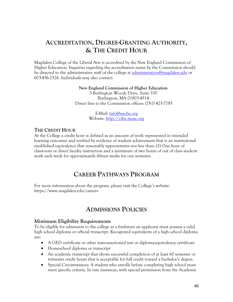# **ACCREDITATION, DEGREE-GRANTING AUTHORITY, & THE CREDIT HOUR**

Magdalen College of the Liberal Arts is accredited by the New England Commission of Higher Education. Inquiries regarding the accreditation status by the Commission should be directed to the administrative staff of the college at [administration@magdalen.edu](mailto:administration@magdalen.edu) or 603-456-2526. Individuals may also contact:

> **New England Commission of Higher Education** 3 Burlington Woods Drive, Suite 100 Burlington, MA 01803-4514 Direct line to the Commission offices: (781) 425-7785

> > E-Mail: [info@neche.org](mailto:info@neche.org) Website: [http://cihe.neasc.org](http://cihe.neasc.org/)

# **THE CREDIT HOUR**

At the College a credit hour is defined as an amount of work represented in intended learning outcomes and verified by evidence of student achievement that is an institutional established equivalence that reasonably approximates not less than: (1) One hour of classroom or direct faculty instruction and a minimum of two hours of out of class student work each week for approximately fifteen weeks for one semester.

# **CAREER PATHWAYS PROGRAM**

For more information about the program, please visit the College's website: https://www.magdalen.edu/careers

# **ADMISSIONS POLICIES**

# **Minimum Eligibility Requirements**

To be eligible for admission to the college as a freshman an applicant must possess a valid high school diploma or official transcript. Recognized equivalents of a high school diploma are:

- A GED certificate or other state-sanctioned test or diploma-equivalency certificate
- Homeschool diploma or transcript
- An academic transcript that shows successful completion of at least 60 semester or trimester credit hours that is acceptable for full credit toward a bachelor's degree.
- Special Circumstances: A student who enrolls before completing high school must meet specific criteria. In rare instances, with special permission from the Academic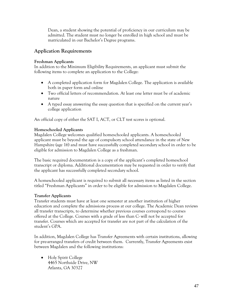Dean, a student showing the potential of proficiency in our curriculum may be admitted. The student must no longer be enrolled in high school and must be matriculated in our Bachelor's Degree programs.

# **Application Requirements**

#### **Freshman Applicants**

In addition to the Minimum Eligibility Requirements, an applicant must submit the following items to complete an application to the College:

- A completed application form for Magdalen College. The application is available both in paper form and online
- Two official letters of recommendation. At least one letter must be of academic nature
- A typed essay answering the essay question that is specified on the current year's college application

An official copy of either the SAT I, ACT, or CLT test scores is optional.

### **Homeschooled Applicants**

Magdalen College welcomes qualified homeschooled applicants. A homeschooled applicant must be beyond the age of compulsory school attendance in the state of New Hampshire (age 16) and must have successfully completed secondary school in order to be eligible for admission to Magdalen College as a freshman.

The basic required documentation is a copy of the applicant's completed homeschool transcript or diploma. Additional documentation may be requested in order to verify that the applicant has successfully completed secondary school.

A homeschooled applicant is required to submit all necessary items as listed in the section titled "Freshman Applicants" in order to be eligible for admission to Magdalen College.

#### **Transfer Applicants**

Transfer students must have at least one semester at another institution of higher education and complete the admissions process at our college. The Academic Dean reviews all transfer transcripts, to determine whether previous courses correspond to courses offered at the College. Courses with a grade of less than C- will not be accepted for transfer. Courses which are accepted for transfer are not part of the calculation of the student's GPA.

In addition, Magdalen College has Transfer Agreements with certain institutions, allowing for pre-arranged transfers of credit between them. Currently, Transfer Agreements exist between Magdalen and the following institutions:

• Holy Spirit College 4465 Northside Drive, NW Atlanta, GA 30327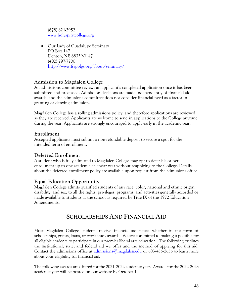(678) 821-2952 [www.holyspiritcollege.org](http://www.holyspiritcollege.org/)

• Our Lady of Guadalupe Seminary PO Box 147 Denton, NE 68339-0147 (402) 797-7700 <http://www.fsspolgs.org/about/seminary/>

# **Admission to Magdalen College**

An admissions committee reviews an applicant's completed application once it has been submitted and processed. Admission decisions are made independently of financial aid awards, and the admissions committee does not consider financial need as a factor in granting or denying admission.

Magdalen College has a rolling admissions policy, and therefore applications are reviewed as they are received. Applicants are welcome to send in applications to the College anytime during the year. Applicants are strongly encouraged to apply early in the academic year.

# **Enrollment**

Accepted applicants must submit a non-refundable deposit to secure a spot for the intended term of enrollment.

# **Deferred Enrollment**

A student who is fully admitted to Magdalen College may opt to defer his or her enrollment up to one academic calendar year without reapplying to the College. Details about the deferred enrollment policy are available upon request from the admissions office.

# **Equal Education Opportunity**

Magdalen College admits qualified students of any race, color, national and ethnic origin, disability, and sex, to all the rights, privileges, programs, and activities generally accorded or made available to students at the school as required by Title IX of the 1972 Education Amendments.

# **SCHOLARSHIPS AND FINANCIAL AID**

Most Magdalen College students receive financial assistance, whether in the form of scholarships, grants, loans, or work study awards. We are committed to making it possible for all eligible students to participate in our premier liberal arts education. The following outlines the institutional, state, and federal aid we offer and the method of applying for this aid. Contact the admissions office at admissions  $@$  magdalen.edu or 603-456-2656 to learn more about your eligibility for financial aid.

The following awards are offered for the 2021-2022 academic year. Awards for the 2022-2023 academic year will be posted on our website by October 1.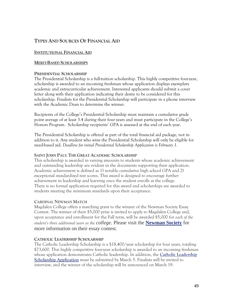# **TYPES AND SOURCES OF FINANCIAL AID**

#### **INSTITUTIONAL FINANCIAL AID**

#### **MERIT-BASED SCHOLARSHIPS**

#### **PRESIDENTIAL SCHOLARSHIP**

The Presidential Scholarship is a full-tuition scholarship. This highly competitive four-year, scholarship is awarded to an incoming freshman whose application displays exemplary academic and extracurricular achievement. Interested applicants should submit a cover letter along with their application indicating their desire to be considered for this scholarship. Finalists for the Presidential Scholarship will participate in a phone interview with the Academic Dean to determine the winner.

Recipients of the College's Presidential Scholarship must maintain a cumulative grade point average of at least 3.4 during their four years and must participate in the College's Honors Program. Scholarship recipients' GPA is assessed at the end of each year.

The Presidential Scholarship is offered as part of the total financial aid package, not in addition to it. Any student who wins the Presidential Scholarship will only be eligible for need-based aid. *Deadline for initial Presidential Scholarship Application is February 1.*

#### **SAINT JOHN PAUL THE GREAT ACADEMIC SCHOLARSHIP**

This scholarship is awarded in varying amounts to students whose academic achievement and outstanding leadership are evident in the documents supporting their application. Academic achievement is defined as 1) notable cumulative high school GPA and 2) exceptional standardized test scores. This award is designed to encourage further achievement in leadership and learning once the student enrolls at the college. There is no formal application required for this award and scholarships are awarded to students meeting the minimum standards upon their acceptance.

#### **CARDINAL NEWMAN MATCH**

Magdalen College offers a matching grant to the winner of the Newman Society Essay Contest. The winner of their \$5,000 prize is invited to apply to Magdalen College and, upon acceptance and enrollment for the Fall term, will be awarded \$5,000 for *each of the student's three additional years at the college*. Please visit the **[Newman](https://newmansociety.org/what-is-the-newman-societys-essay-scholarship-contest/) Society** for more information on their essay contest.

#### **CATHOLIC LEADERSHIP SCHOLARSHIP**

The Catholic Leadership Scholarship is a \$18,400/year scholarship for four years, totaling \$73,600. This highly competitive four-year scholarship is awarded to an incoming freshman whose application demonstrates Catholic leadership. In addition, the **Catholic [Leadership](https://magdalen.edu/admissions-mc/catholic-leadership-scholarship/) Scholarship [Application](https://magdalen.edu/admissions-mc/catholic-leadership-scholarship/)** must be submitted by March 5. Finalists will be invited to interview, and the winner of the scholarship will be announced on March 19.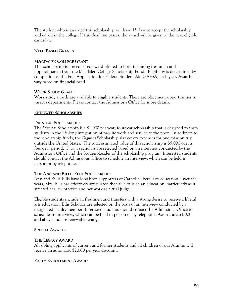The student who is awarded this scholarship will have 15 days to accept the scholarship and enroll in the college. If this deadline passes, the award will be given to the next eligible candidate.

#### **NEED-BASED GRANTS**

#### **MAGDALEN COLLEGE GRANT**

This scholarship is a need-based award offered to both incoming freshman and upperclassman from the Magdalen College Scholarship Fund. Eligibility is determined by completion of the Free Application for Federal Student Aid (FAFSA) each year. Awards vary based on financial need.

#### **WORK STUDY GRANT**

Work study awards are available to eligible students. There are placement opportunities in various departments. Please contact the Admissions Office for more details.

#### **ENDOWED SCHOLARSHIPS**

#### **DIGNITAS SCHOLARSHIP**

The *Dignitas* Scholarship is a \$1,000 per year, four-year scholarship that is designed to form students in the life-long integration of pro-life work and service to the poor. In addition to the scholarship funds, the *Dignitas* Scholarship also covers expenses for one mission trip outside the United States. The total estimated value of this scholarship is \$5,000 over a four-year period. *Dignitas* scholars are selected based on an interview conducted by the Admissions Office and the Student-Leader of the scholarship program. Interested students should contact the Admissions Office to schedule an interview, which can be held in person or by telephone.

#### **THE ANN AND BILLIE ELLIS SCHOLARSHIP**

Ann and Billie Ellis have long been supporters of Catholic liberal arts education. Over the years, Mrs. Ellis has effectively articulated the value of such an education, particularly as it affected her law practice and her work as a trial judge.

Eligible students include all freshmen and transfers with a strong desire to receive a liberal arts education. Ellis Scholars are selected on the basis of an interview conducted by a designated faculty member. Interested students should contact the Admissions Office to schedule an interview, which can be held in person or by telephone. Awards are \$1,000 and above and are renewable yearly.

#### **SPECIAL AWARDS**

#### **THE LEGACY AWARD**

All sibling applicants of current and former students and all children of our Alumni will receive an automatic \$2,000 per year discount.

#### **EARLY ENROLLMENT AWARD**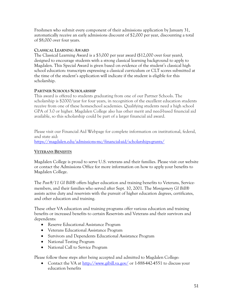Freshmen who submit every component of their admissions application by January 31, automatically receive an early admissions discount of \$2,000 per year, discounting a total of \$8,000 over four years.

#### **CLASSICAL LEARNING AWARD**

The Classical Learning Award is a \$3,000 per year award (\$12,000 over four years), designed to encourage students with a strong classical learning background to apply to Magdalen. This Special Award is given based on evidence of the student's classical high school education: transcripts expressing a classical curriculum or CLT scores submitted at the time of the student's application will indicate if the student is eligible for this scholarship.

#### **PARTNER SCHOOLS SCHOLARSHIP**

This award is offered to students graduating from one of our Partner Schools. The scholarship is \$2000/year for four years, in recognition of the excellent education students receive from one of these homeschool academies. Qualifying students need a high school GPA of 3.0 or higher. Magdalen College also has other merit and need-based financial aid available, so this scholarship could be part of a larger financial aid award.

Please visit our Financial Aid Webpage for complete information on institutional, federal, and state aid:

<https://magdalen.edu/admissions-mc/financial-aid/scholarships-grants/>

#### **VETERANS BENEFITS**

Magdalen College is proud to serve U.S. veterans and their families. Please visit our website or contact the Admissions Office for more information on how to apply your benefits to Magdalen College.

The *Post-9/11 GI Bill* offers higher education and training benefits to Veterans, Servicemembers, and their families who served after Sept. 10, 2001. The *Montgomery GI Bill* assists active duty and reservists with the pursuit of higher education degrees, certificates, and other education and training.

These other VA education and training programs offer various education and training benefits or increased benefits to certain Reservists and Veterans and their survivors and dependents:

- Reserve Educational Assistance Program
- Veterans Educational Assistance Program
- Survivors and Dependents Educational Assistance Program
- National Testing Program
- National Call to Service Program

Please follow these steps after being accepted and admitted to Magdalen College:

• Contact the VA at<http://www.gibill.va.gov/> or 1-888-442-4551 to discuss your education benefits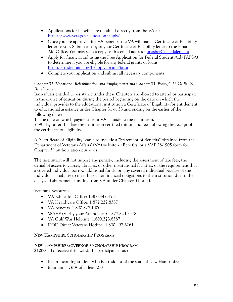- Applications for benefits are obtained directly from the VA at: <https://www.vets.gov/education/apply/>
- Once you are approved for VA benefits, the VA will mail a Certificate of Eligibility letter to you. Submit a copy of your Certificate of Eligibility letter to the Financial Aid Office. You may scan a copy to this email address: [mlasher@magdalen.edu](mailto:mlasher@magdalen.edu)
- Apply for financial aid using the Free Application for Federal Student Aid (FAFSA) to determine if you are eligible for any federal grants or loans: <https://studentaid.gov/h/apply-for-aid/fafsa>
- Complete your application and submit all necessary components

### *Chapter 31 (Vocational Rehabilitation and Employment) and Chapter 33 (Post-9/112 GI Bill) Beneficiaries*:

Individuals entitled to assistance under these Chapters are allowed to attend or participate in the course of education during the period beginning on the date on which the individual provides to the educational institution a Certificate of Eligibility for entitlement to educational assistance under Chapter 31 or 33 and ending on the earlier of the following dates:

1. The date on which payment from VA is made to the institution.

2. 90 days after the date the institution certified tuition and fees following the receipt of the certificate of eligibility.

A "Certificate of Eligibility" can also include a "Statement of Benefits" obtained from the Department of Veterans Affairs' (VA) website – eBenefits, or a VAF 28-1905 form for Chapter 31 authorization purposes.

The institution will not impose any penalty, including the assessment of late fees, the denial of access to classes, libraries, or other institutional facilities, or the requirement that a covered individual borrow additional funds, on any covered individual because of the individual's inability to meet his or her financial obligations to the institution due to the delayed disbursement funding from VA under Chapter 31 or 33.

Veterans Resources

- VA Education Office: 1.800.442.4551
- VA Healthcare Office: 1.877.222.8387
- VA Benefits: 1.800.827.1000
- WAVE (Verify your Attendance) 1.877.823.2378
- VA Gulf War Helpline: 1.800.273.8387
- DOD Direct Veterans Hotline: 1.800.497.6261

# **NEW HAMPSHIRE SCHOLARSHIP PROGRAMS**

# **NEW HAMPSHIRE GOVERNOR'S SCHOLARSHIP PROGRAM**

**\$1000 –** To receive this award, the participant must:

- Be an incoming student who is a resident of the state of New Hampshire
- Maintain a GPA of at least 2.0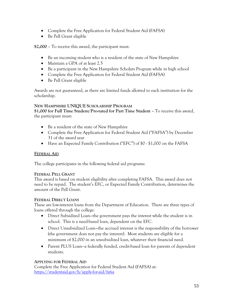- Complete the Free Application for Federal Student Aid (FAFSA)
- Be Pell Grant eligible

**\$2,000** – To receive this award, the participant must:

- Be an incoming student who is a resident of the state of New Hampshire
- Maintain a GPA of at least 2.5
- Be a participant in the New Hampshire Scholars Program while in high school
- Complete the Free Application for Federal Student Aid (FAFSA)
- Be Pell Grant eligible

Awards are not guaranteed, as there are limited funds allotted to each institution for the scholarship.

# **NEW HAMPSHIRE UNIQUE SCHOLARSHIP PROGRAM**

**\$1,000 for Full Time Student/Pro-rated for Part Time Student –** To receive this award, the participant must:

- Be a resident of the state of New Hampshire
- Complete the Free Application for Federal Student Aid ("FAFSA") by December 31 of the award year
- Have an Expected Family Contribution ("EFC") of \$0 \$1,000 on the FAFSA

# **FEDERAL AID**

The college participates in the following federal aid programs:

# **FEDERAL PELL GRANT**

This award is based on student eligibility after completing FAFSA. This award does not need to be repaid. The student's EFC, or Expected Family Contribution, determines the amount of the Pell Grant.

# **FEDERAL DIRECT LOANS**

These are low-interest loans from the Department of Education. There are three types of loans offered through the college:

- Direct Subsidized Loan—the government pays the interest while the student is in school. This is a need-based loan, dependent on the EFC.
- Direct Unsubsidized Loan—the accrued interest is the responsibility of the borrower (the government does not pay the interest). Most students are eligible for a minimum of \$2,000 in an unsubsidized loan, whatever their financial need.
- Parent PLUS Loan—a federally funded, credit-based loan for parents of dependent students.

# **APPLYING FOR FEDERAL AID**

Complete the Free Application for Federal Student Aid (FAFSA) at: <https://studentaid.gov/h/apply-for-aid/fafsa>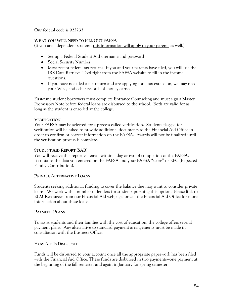Our federal code is **022233**

#### **WHAT YOU WILL NEED TO FILL OUT FAFSA**

(If you are a dependent student, this information will apply to your parents as well.)

- Set up a Federal Student Aid username and password
- Social Security Number
- Most recent federal tax returns—if you and your parents have filed, you will use the IRS Data Retrieval Tool right from the FAFSA website to fill in the income questions.
- If you have not filed a tax return and are applying for a tax extension, we may need your W-2s, and other records of money earned.

First-time student borrowers must complete Entrance Counseling and must sign a Master Promissory Note before federal loans are disbursed to the school. Both are valid for as long as the student is enrolled at the college.

#### **VERIFICATION**

Your FAFSA may be selected for a process called verification. Students flagged for verification will be asked to provide additional documents to the Financial Aid Office in order to confirm or correct information on the FAFSA. Awards will not be finalized until the verification process is complete.

#### **STUDENT AID REPORT (SAR)**

You will receive this report via email within a day or two of completion of the FAFSA. It contains the data you entered on the FAFSA and your FAFSA "score" or EFC (Expected Family Contribution).

#### **PRIVATE ALTERNATIVE LOANS**

Students seeking additional funding to cover the balance due may want to consider private loans. We work with a number of lenders for students pursuing this option. Please link to **ELM Resources** from our Financial Aid webpage, or call the Financial Aid Office for more information about these loans.

#### **PAYMENT PLANS**

To assist students and their families with the cost of education, the college offers several payment plans. Any alternative to standard payment arrangements must be made in consultation with the Business Office.

#### **HOW AID IS DISBURSED**

Funds will be disbursed to your account once all the appropriate paperwork has been filed with the Financial Aid Office. These funds are disbursed in two payments—one payment at the beginning of the fall semester and again in January for spring semester.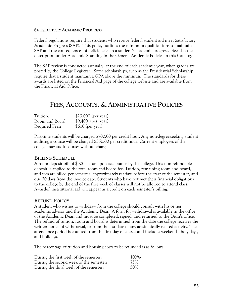#### **SATISFACTORY ACADEMIC PROGRESS**

Federal regulations require that students who receive federal student aid meet Satisfactory Academic Progress (SAP). This policy outlines the minimum qualifications to maintain SAP and the consequences of deficiencies in a student's academic progress. See also the description under Academic Standing in the General Academic Policies in this Catalog.

The SAP review is conducted annually, at the end of each academic year, when grades are posted by the College Registrar. Some scholarships, such as the Presidential Scholarship, require that a student maintain a GPA above the minimum. The standards for these awards are listed on the Financial Aid page of the college website and are available from the Financial Aid Office.

# **FEES, ACCOUNTS, & ADMINISTRATIVE POLICIES**

| Tuition:        | \$23,000 (per year) |
|-----------------|---------------------|
| Room and Board: | $$9,400$ (per year) |
| Required Fees:  | $$600$ (per year)   |

Part-time students will be charged \$700.00 per credit hour. Any non-degree-seeking student auditing a course will be charged \$350.00 per credit hour. Current employees of the college may audit courses without charge.

#### **BILLING SCHEDULE**

A room deposit bill of \$500 is due upon acceptance by the college. This non-refundable deposit is applied to the total room-and-board fee. Tuition, remaining room and board, and fees are billed per semester, approximately 60 days before the start of the semester, and due 30 days from the invoice date. Students who have not met their financial obligations to the college by the end of the first week of classes will not be allowed to attend class. Awarded institutional aid will appear as a credit on each semester's billing.

#### **REFUND POLICY**

A student who wishes to withdraw from the college should consult with his or her academic advisor and the Academic Dean. A form for withdrawal is available in the office of the Academic Dean and must be completed, signed, and returned to the Dean's office. The refund of tuition, room and board is determined from the date the college receives the written notice of withdrawal, or from the last date of any academically related activity. The attendance period is counted from the first day of classes and includes weekends, holy days, and holidays.

The percentage of tuition and housing costs to be refunded is as follows:

| During the first week of the semester:  | 100% |
|-----------------------------------------|------|
| During the second week of the semester: | 75%  |
| During the third week of the semester:  | 50%  |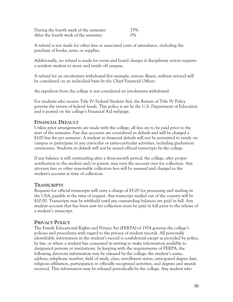| During the fourth week of the semester: | 25%   |
|-----------------------------------------|-------|
| After the fourth week of the semester:  | $0\%$ |

A refund is not made for other fees or associated costs of attendance, including the purchase of books, texts, or supplies.

Additionally, no refund is made for room and board charges if disciplinary action requires a resident student to move and reside off campus.

A refund for an involuntary withdrawal (for example, serious illness, military service) will be considered on an individual basis by the Chief Financial Officer.

An expulsion from the college is not considered an involuntary withdrawal.

For students who receive Title IV Federal Student Aid, the Return of Title IV Policy governs the return of federal funds. This policy is set by the U.S. Department of Education and is posted on the college's Financial Aid webpage.

### **FINANCIAL DEFAULT**

Unless prior arrangements are made with the college, all fees are to be paid prior to the start of the semester. Past due accounts are considered in default and will be charged a \$100 late fee per semester. A student in financial default will not be permitted to reside on campus or participate in any curricular or extra-curricular activities, including graduation ceremonies. Students in default will not be issued official transcripts by the college.

If any balance is still outstanding after a three-month period, the college, after proper notification to the student and/or parent, may turn the account over for collection. Any attorney fees or other reasonable collection fees will be assessed and charged to the student's account at time of collection.

#### **TRANSCRIPTS**

Requests for official transcripts will carry a charge of \$5.00 for processing and mailing in the USA, payable at the time of request. Any transcript mailed out of the country will be \$10.00. Transcripts may be withheld until any outstanding balances are paid in full. Any student account that has been sent for collection must be paid in full prior to the release of a student's transcript.

# **PRIVACY POLICY**

The Family Educational Rights and Privacy Act (FERPA) of 1974 governs the college's policies and procedures with regard to the privacy of student records. All personally identifiable information in the student's record is confidential except as provided by policy, by law, or where a student has consented in writing to make information available to designated persons or institutions. In keeping with the requirements of FERPA, the following directory information may be released by the college: the student's name, address, telephone number, field of study, class, enrollment status, anticipated degree date, religious affiliation, participation in officially recognized activities, and degrees and awards received. This information may be released periodically by the college. Any student who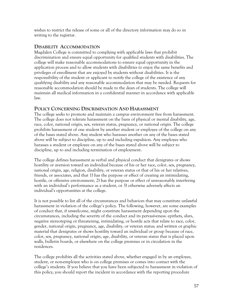wishes to restrict the release of some or all of the directory information may do so in writing to the registrar.

### **DISABILITY ACCOMMODATION**

Magdalen College is committed to complying with applicable laws that prohibit discrimination and ensure equal opportunity for qualified students with disabilities. The college will make reasonable accommodations to ensure equal opportunity in the application process and to allow students with disabilities to enjoy the same benefits and privileges of enrollment that are enjoyed by students without disabilities. It is the responsibility of the student or applicant to notify the college of the existence of any qualifying disability and any reasonable accommodation that may be needed. Requests for reasonable accommodation should be made to the dean of students. The college will maintain all medical information in a confidential manner in accordance with applicable law.

### **POLICY CONCERNING DISCRIMINATION AND HARASSMENT**

The college seeks to promote and maintain a campus environment free from harassment. The college does not tolerate harassment on the basis of physical or mental disability, age, race, color, national origin, sex, veteran status, pregnancy, or national origin. The college prohibits harassment of one student by another student or employee of the college on any of the bases stated above. Any student who harasses another on any of the bases stated above will be subject to discipline, up to and including expulsion. Any employee who harasses a student or employee on any of the bases stated above will be subject to discipline, up to and including termination of employment.

The college defines harassment as verbal and physical conduct that denigrates or shows hostility or aversion toward an individual because of his or her race, color, sex, pregnancy, national origin, age, religion, disability, or veteran status or that of his or her relatives, friends, or associates, and that 1) has the purpose or effect of creating an intimidating, hostile, or offensive environment, 2) has the purpose or effect of unreasonably interfering with an individual's performance as a student, or 3) otherwise adversely affects an individual's opportunities at the college.

It is not possible to list all of the circumstances and behaviors that may constitute unlawful harassment in violation of the college's policy. The following, however, are some examples of conduct that, if unwelcome, might constitute harassment depending upon the circumstances, including the severity of the conduct and its pervasiveness: epithets, slurs, negative stereotyping or threatening, intimidating, or hostile acts that relate to race, color, gender, national origin, pregnancy, age, disability, or veteran status; and written or graphic material that denigrates or shows hostility toward an individual or group because of race, color, sex, pregnancy, national origin, age, disability, or veteran status that is placed upon walls, bulletin boards, or elsewhere on the college premises or in circulation in the residences.

The college prohibits all the activities stated above, whether engaged in by an employee, student, or non-employee who is on college premises or comes into contact with the college's students. If you believe that you have been subjected to harassment in violation of this policy, you should report the incident in accordance with the reporting procedure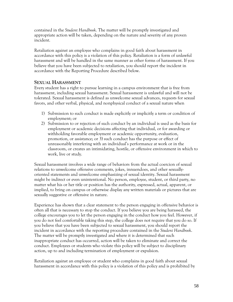contained in the *Student Handbook*. The matter will be promptly investigated and appropriate action will be taken, depending on the nature and severity of any proven incident.

Retaliation against an employee who complains in good faith about harassment in accordance with this policy is a violation of this policy. Retaliation is a form of unlawful harassment and will be handled in the same manner as other forms of harassment. If you believe that you have been subjected to retaliation, you should report the incident in accordance with the Reporting Procedure described below.

# **SEXUAL HARASSMENT**

Every student has a right to pursue learning in a campus environment that is free from harassment, including sexual harassment. Sexual harassment is unlawful and will not be tolerated. Sexual harassment is defined as unwelcome sexual advances, requests for sexual favors, and other verbal, physical, and nonphysical conduct of a sexual nature when

- 1) Submission to such conduct is made explicitly or implicitly a term or condition of employment; or
- 2) Submission to or rejection of such conduct by an individual is used as the basis for employment or academic decisions affecting that individual, or for awarding or withholding favorable employment or academic opportunity, evaluation, promotion, or assistance; or 3) such conduct has the purpose or effect of unreasonably interfering with an individual's performance at work or in the classroom, or creates an intimidating, hostile, or offensive environment in which to work, live or study.

Sexual harassment involves a wide range of behaviors from the actual coercion of sexual relations to unwelcome offensive comments, jokes, innuendoes, and other sexuallyoriented statements and unwelcome emphasizing of sexual identity. Sexual harassment might be indirect or even unintentional. No person, employee, student, or third party, no matter what his or her title or position has the authority, expressed, actual, apparent, or implied, to bring on campus or otherwise display any written materials or pictures that are sexually suggestive or offensive in nature.

Experience has shown that a clear statement to the person engaging in offensive behavior is often all that is necessary to stop the conduct. If you believe you are being harassed, the college encourages you to let the person engaging in the conduct how you feel. However, if you do not feel comfortable taking this step, the college does not require that you do so. If you believe that you have been subjected to sexual harassment, you should report the incident in accordance with the reporting procedure contained in the *Student Handbook*. The matter will be promptly investigated and where it is determined that such inappropriate conduct has occurred, action will be taken to eliminate and correct the conduct. Employees or students who violate this policy will be subject to disciplinary action, up to and including termination of employment or expulsion.

Retaliation against an employee or student who complains in good faith about sexual harassment in accordance with this policy is a violation of this policy and is prohibited by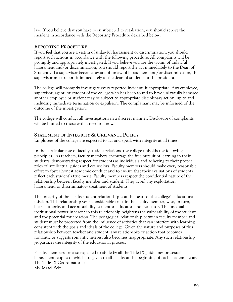law. If you believe that you have been subjected to retaliation, you should report the incident in accordance with the Reporting Procedure described below.

### **REPORTING PROCEDURE**

If you feel that you are a victim of unlawful harassment or discrimination, you should report such actions in accordance with the following procedure. All complaints will be promptly and appropriately investigated. If you believe you are the victim of unlawful harassment and/or discrimination, you should report the act immediately to the Dean of Students. If a supervisor becomes aware of unlawful harassment and/or discrimination, the supervisor must report it immediately to the dean of students or the president.

The college will promptly investigate every reported incident, if appropriate. Any employee, supervisor, agent, or student of the college who has been found to have unlawfully harassed another employee or student may be subject to appropriate disciplinary action, up to and including immediate termination or expulsion. The complainant may be informed of the outcome of the investigation.

The college will conduct all investigations in a discreet manner. Disclosure of complaints will be limited to those with a need to know.

# **STATEMENT OF INTEGRITY & GRIEVANCE POLICY**

Employees of the college are expected to act and speak with integrity at all times.

In the particular case of faculty-student relations, the college upholds the following principles. As teachers, faculty members encourage the free pursuit of learning in their students, demonstrating respect for students as individuals and adhering to their proper roles of intellectual guides and counselors. Faculty members should make every reasonable effort to foster honest academic conduct and to ensure that their evaluations of students reflect each student's true merit. Faculty members respect the confidential nature of the relationship between faculty member and student. They avoid any exploitation, harassment, or discriminatory treatment of students.

The integrity of the faculty-student relationship is at the heart of the college's educational mission. This relationship vests considerable trust in the faculty member, who, in turn, bears authority and accountability as mentor, educator, and evaluator. The unequal institutional power inherent in this relationship heightens the vulnerability of the student and the potential for coercion. The pedagogical relationship between faculty member and student must be protected from the influence of activities that can interfere with learning consistent with the goals and ideals of the college. Given the nature and purposes of this relationship between teacher and student, any relationship or action that becomes romantic or suggests romantic interest also becomes inappropriate. Any such relationship jeopardizes the integrity of the educational process.

Faculty members are also expected to abide by all the Title IX guidelines on sexual harassment, copies of which are given to all faculty at the beginning of each academic year. The Title IX Coordinator is: Ms. Mazel Belt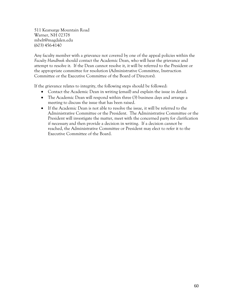511 Kearsarge Mountain Road Warner, NH 02378 mbelt@magdalen.edu (603) 456-4140

Any faculty member with a grievance not covered by one of the appeal policies within the *Faculty Handbook* should contact the Academic Dean, who will hear the grievance and attempt to resolve it. If the Dean cannot resolve it, it will be referred to the President or the appropriate committee for resolution (Administrative Committee, Instruction Committee or the Executive Committee of the Board of Directors).

If the grievance relates to integrity, the following steps should be followed:

- Contact the Academic Dean in writing (email) and explain the issue in detail.
- The Academic Dean will respond within three (3) business days and arrange a meeting to discuss the issue that has been raised.
- If the Academic Dean is not able to resolve the issue, it will be referred to the Administrative Committee or the President. The Administrative Committee or the President will investigate the matter, meet with the concerned party for clarification if necessary and then provide a decision in writing. If a decision cannot be reached, the Administrative Committee or President may elect to refer it to the Executive Committee of the Board.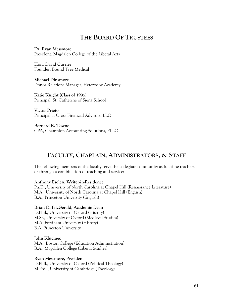# **THE BOARD OF TRUSTEES**

**Dr. Ryan Messmore** President, Magdalen College of the Liberal Arts

**Hon. David Currier** Founder, Bound Tree Medical

**Michael Dinsmore** Donor Relations Manager, Heterodox Academy

**Katie Knight (Class of 1995)** Principal, St. Catherine of Siena School

**Victor Prieto** Principal at Cross Financial Advisors, LLC

**Bernard R. Towne** CPA, Champion Accounting Solutions, PLLC

# **FACULTY, CHAPLAIN, ADMINISTRATORS, & STAFF**

The following members of the faculty serve the collegiate community as full-time teachers or through a combination of teaching and service:

**Anthony Esolen, Writer-in-Residence**

Ph.D., University of North Carolina at Chapel Hill (Renaissance Literature) M.A., University of North Carolina at Chapel Hill (English) B.A., Princeton University (English)

#### **Brian D. FitzGerald, Academic Dean**

D.Phil., University of Oxford (History) M.St., University of Oxford (Medieval Studies) M.A. Fordham University (History) B.A. Princeton University

**John Klucinec**

M.A., Boston College (Education Administration) B.A., Magdalen College (Liberal Studies)

#### **Ryan Messmore, President**

D.Phil., University of Oxford (Political Theology) M.Phil., University of Cambridge (Theology)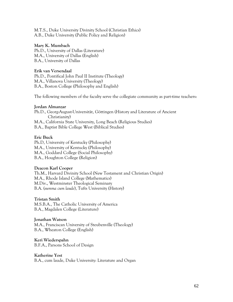M.T.S., Duke University Divinity School (Christian Ethics) A.B., Duke University (Public Policy and Religion)

#### **Mary K. Mumbach**

Ph.D., University of Dallas (Literature) M.A., University of Dallas (English) B.A., University of Dallas

#### **Erik van Versendaal**

Ph.D., Pontifical John Paul II Institute (Theology) M.A., Villanova University (Theology) B.A., Boston College (Philosophy and English)

The following members of the faculty serve the collegiate community as part-time teachers:

#### **Jordan Almanzar**

Ph.D., Georg-August-Universität, Göttingen (History and Literature of Ancient Christianity) M.A., California State University, Long Beach (Religious Studies) B.A., Baptist Bible College West (Biblical Studies)

#### **Eric Buck**

Ph.D, University of Kentucky (Philosophy) M.A., University of Kentucky (Philosophy) M.A., Goddard College (Social Philosophy) B.A., Houghton College (Religion)

#### **Deacon Karl Cooper**

Th.M., Harvard Divinity School (New Testament and Christian Origin) M.A., Rhode Island College (Mathematics) M.Div., Westminster Theological Seminary B.A. (*summa cum laude*), Tufts University (History)

#### **Tristan Smith**

M.S.B.A., The Catholic University of America B.A., Magdalen College (Literature)

#### **Jonathan Watson**

M.A., Franciscan University of Steubenville (Theology) B.A., Wheaton College (English)

**Keri Wiederspahn**  B.F.A., Parsons School of Design

#### **Katherine Yost**

B.A., cum laude, Duke University: Literature and Organ